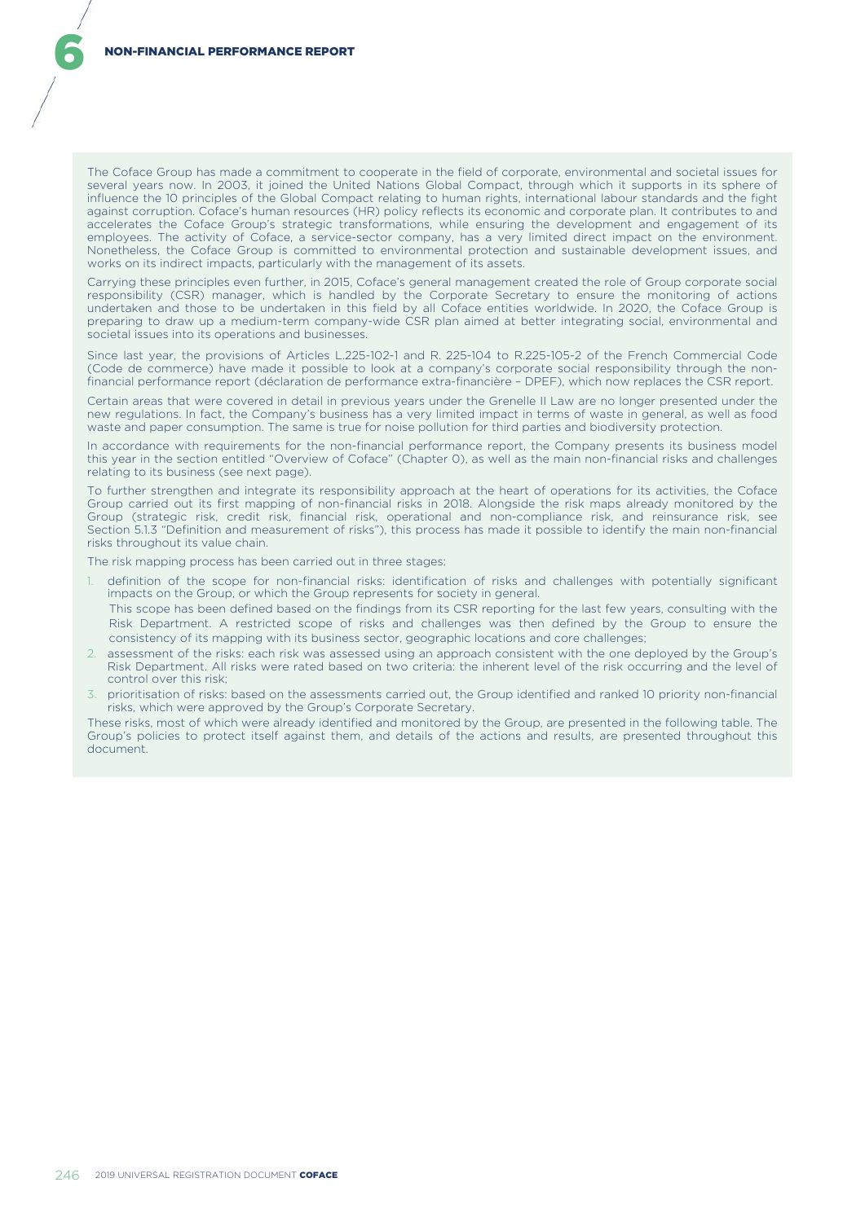The Coface Group has made a commitment to cooperate in the field of corporate, environmental and societal issues for several years now. In 2003, it joined the United Nations Global Compact, through which it supports in its sphere of influence the 10 principles of the Global Compact relating to human rights, international labour standards and the fight against corruption. Coface's human resources (HR) policy reflects its economic and corporate plan. It contributes to and accelerates the Coface Group's strategic transformations, while ensuring the development and engagement of its employees. The activity of Coface, a service-sector company, has a very limited direct impact on the environment. Nonetheless, the Coface Group is committed to environmental protection and sustainable development issues, and works on its indirect impacts, particularly with the management of its assets.

Carrying these principles even further, in 2015, Coface's general management created the role of Group corporate social responsibility (CSR) manager, which is handled by the Corporate Secretary to ensure the monitoring of actions undertaken and those to be undertaken in this field by all Coface entities worldwide. In 2020, the Coface Group is preparing to draw up a medium-term company-wide CSR plan aimed at better integrating social, environmental and societal issues into its operations and businesses.

Since last year, the provisions of Articles L.225-102-1 and R. 225-104 to R.225-105-2 of the French Commercial Code (Code de commerce) have made it possible to look at a company's corporate social responsibility through the nonfinancial performance report (déclaration de performance extra-financière – DPEF), which now replaces the CSR report.

Certain areas that were covered in detail in previous years under the Grenelle II Law are no longer presented under the new regulations. In fact, the Company's business has a very limited impact in terms of waste in general, as well as food waste and paper consumption. The same is true for noise pollution for third parties and biodiversity protection.

In accordance with requirements for the non-financial performance report, the Company presents its business model this year in the section entitled "Overview of Coface" (Chapter 0), as well as the main non-financial risks and challenges relating to its business (see next page).

To further strengthen and integrate its responsibility approach at the heart of operations for its activities, the Coface Group carried out its first mapping of non-financial risks in 2018. Alongside the risk maps already monitored by the Group (strategic risk, credit risk, financial risk, operational and non-compliance risk, and reinsurance risk, see Section 5.1.3 "Definition and measurement of risks"), this process has made it possible to identify the main non-financial risks throughout its value chain.

The risk mapping process has been carried out in three stages:

- 1. definition of the scope for non-financial risks: identification of risks and challenges with potentially significant impacts on the Group, or which the Group represents for society in general. This scope has been defined based on the findings from its CSR reporting for the last few years, consulting with the
	- Risk Department. A restricted scope of risks and challenges was then defined by the Group to ensure the consistency of its mapping with its business sector, geographic locations and core challenges;
- 2. assessment of the risks: each risk was assessed using an approach consistent with the one deployed by the Group's Risk Department. All risks were rated based on two criteria: the inherent level of the risk occurring and the level of control over this risk;
- 3. prioritisation of risks: based on the assessments carried out, the Group identified and ranked 10 priority non-financial risks, which were approved by the Group's Corporate Secretary.

These risks, most of which were already identified and monitored by the Group, are presented in the following table. The Group's policies to protect itself against them, and details of the actions and results, are presented throughout this document.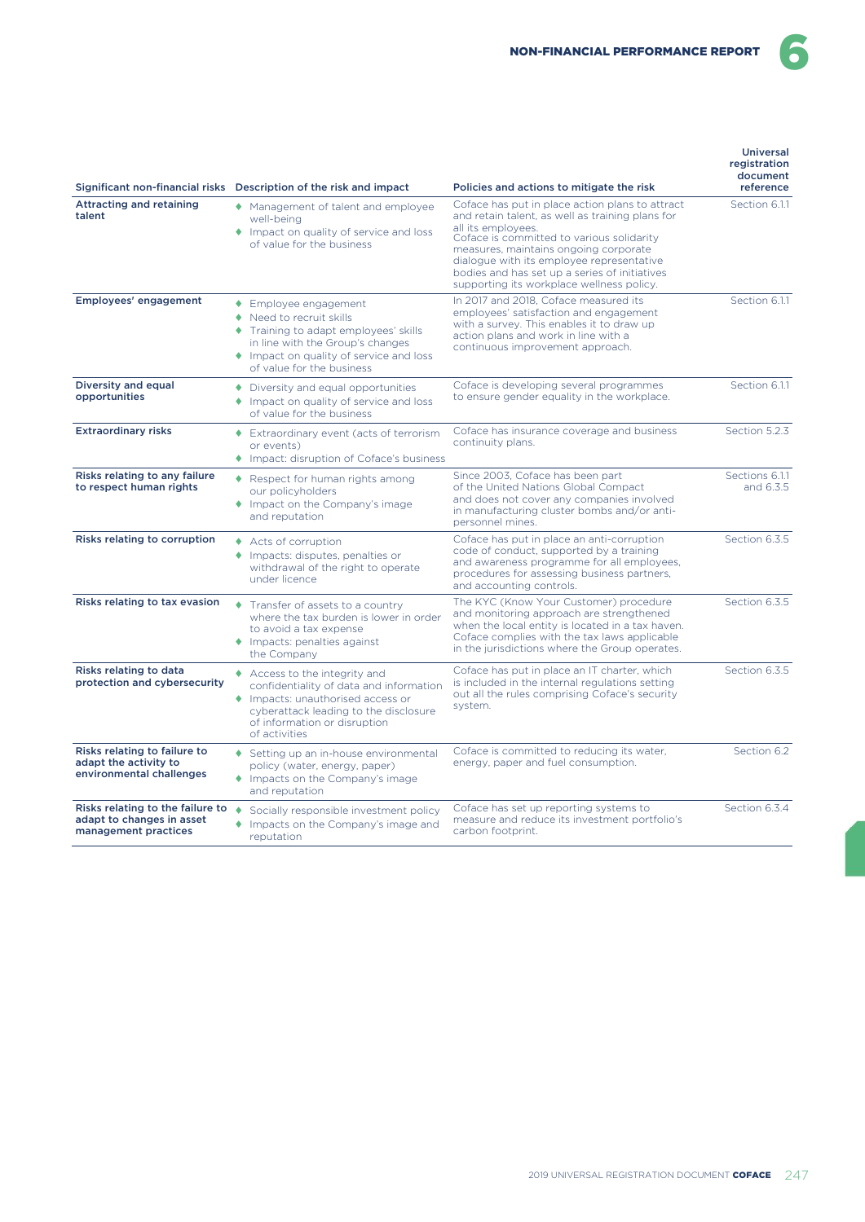Universal

6

|                                                                                                                                                                                                                                             | Significant non-financial risks Description of the risk and impact                                                                                                                                                                                                                                   | Policies and actions to mitigate the risk                                                                                                                                                                                                                                                                                                                  | registration<br>document<br>reference |
|---------------------------------------------------------------------------------------------------------------------------------------------------------------------------------------------------------------------------------------------|------------------------------------------------------------------------------------------------------------------------------------------------------------------------------------------------------------------------------------------------------------------------------------------------------|------------------------------------------------------------------------------------------------------------------------------------------------------------------------------------------------------------------------------------------------------------------------------------------------------------------------------------------------------------|---------------------------------------|
| <b>Attracting and retaining</b><br>◆ Management of talent and employee<br>talent<br>well-being<br>Impact on quality of service and loss<br>of value for the business                                                                        |                                                                                                                                                                                                                                                                                                      | Coface has put in place action plans to attract<br>and retain talent, as well as training plans for<br>all its employees.<br>Coface is committed to various solidarity<br>measures, maintains ongoing corporate<br>dialogue with its employee representative<br>bodies and has set up a series of initiatives<br>supporting its workplace wellness policy. | Section 6.1.1                         |
| Employees' engagement                                                                                                                                                                                                                       | ◆ Employee engagement<br>◆ Need to recruit skills<br>Training to adapt employees' skills<br>in line with the Group's changes<br>Impact on quality of service and loss<br>of value for the business                                                                                                   | In 2017 and 2018, Coface measured its<br>employees' satisfaction and engagement<br>with a survey. This enables it to draw up<br>action plans and work in line with a<br>continuous improvement approach.                                                                                                                                                   | Section 6.1.1                         |
| Diversity and equal<br>Coface is developing several programmes<br>• Diversity and equal opportunities<br>opportunities<br>to ensure gender equality in the workplace.<br>Impact on quality of service and loss<br>of value for the business |                                                                                                                                                                                                                                                                                                      | Section 6.1.1                                                                                                                                                                                                                                                                                                                                              |                                       |
| <b>Extraordinary risks</b>                                                                                                                                                                                                                  | Extraordinary event (acts of terrorism<br>or events)<br>Impact: disruption of Coface's business                                                                                                                                                                                                      | Coface has insurance coverage and business<br>continuity plans.                                                                                                                                                                                                                                                                                            |                                       |
| Risks relating to any failure<br>to respect human rights                                                                                                                                                                                    | Since 2003. Coface has been part<br>◆ Respect for human rights among<br>of the United Nations Global Compact<br>our policyholders<br>and does not cover any companies involved<br>Impact on the Company's image<br>in manufacturing cluster bombs and/or anti-<br>and reputation<br>personnel mines. |                                                                                                                                                                                                                                                                                                                                                            | Sections 6.1.1<br>and 6.3.5           |
| Risks relating to corruption<br>◆ Acts of corruption<br>◆ Impacts: disputes, penalties or<br>withdrawal of the right to operate<br>under licence                                                                                            |                                                                                                                                                                                                                                                                                                      | Coface has put in place an anti-corruption<br>code of conduct, supported by a training<br>and awareness programme for all employees,<br>procedures for assessing business partners.<br>and accounting controls.                                                                                                                                            | Section 6.3.5                         |
| Risks relating to tax evasion<br>Transfer of assets to a country<br>where the tax burden is lower in order<br>to avoid a tax expense<br>Impacts: penalties against<br>the Company                                                           |                                                                                                                                                                                                                                                                                                      | The KYC (Know Your Customer) procedure<br>and monitoring approach are strengthened<br>when the local entity is located in a tax haven.<br>Coface complies with the tax laws applicable<br>in the jurisdictions where the Group operates.                                                                                                                   | Section 6.3.5                         |
| Risks relating to data<br>protection and cybersecurity                                                                                                                                                                                      | ◆ Access to the integrity and<br>confidentiality of data and information<br>♦ Impacts: unauthorised access or<br>cyberattack leading to the disclosure<br>of information or disruption<br>of activities                                                                                              | Coface has put in place an IT charter, which<br>is included in the internal regulations setting<br>out all the rules comprising Coface's security<br>system.                                                                                                                                                                                               | Section 6.3.5                         |
| Risks relating to failure to<br>adapt the activity to<br>environmental challenges                                                                                                                                                           | ◆ Setting up an in-house environmental<br>policy (water, energy, paper)<br>Impacts on the Company's image<br>and reputation                                                                                                                                                                          | Coface is committed to reducing its water.<br>energy, paper and fuel consumption.                                                                                                                                                                                                                                                                          | Section 6.2                           |
| Risks relating to the failure to<br>adapt to changes in asset<br>management practices                                                                                                                                                       | ٠<br>Socially responsible investment policy<br>Impacts on the Company's image and<br>۰<br>reputation                                                                                                                                                                                                 | Coface has set up reporting systems to<br>measure and reduce its investment portfolio's<br>carbon footprint.                                                                                                                                                                                                                                               | Section 6.3.4                         |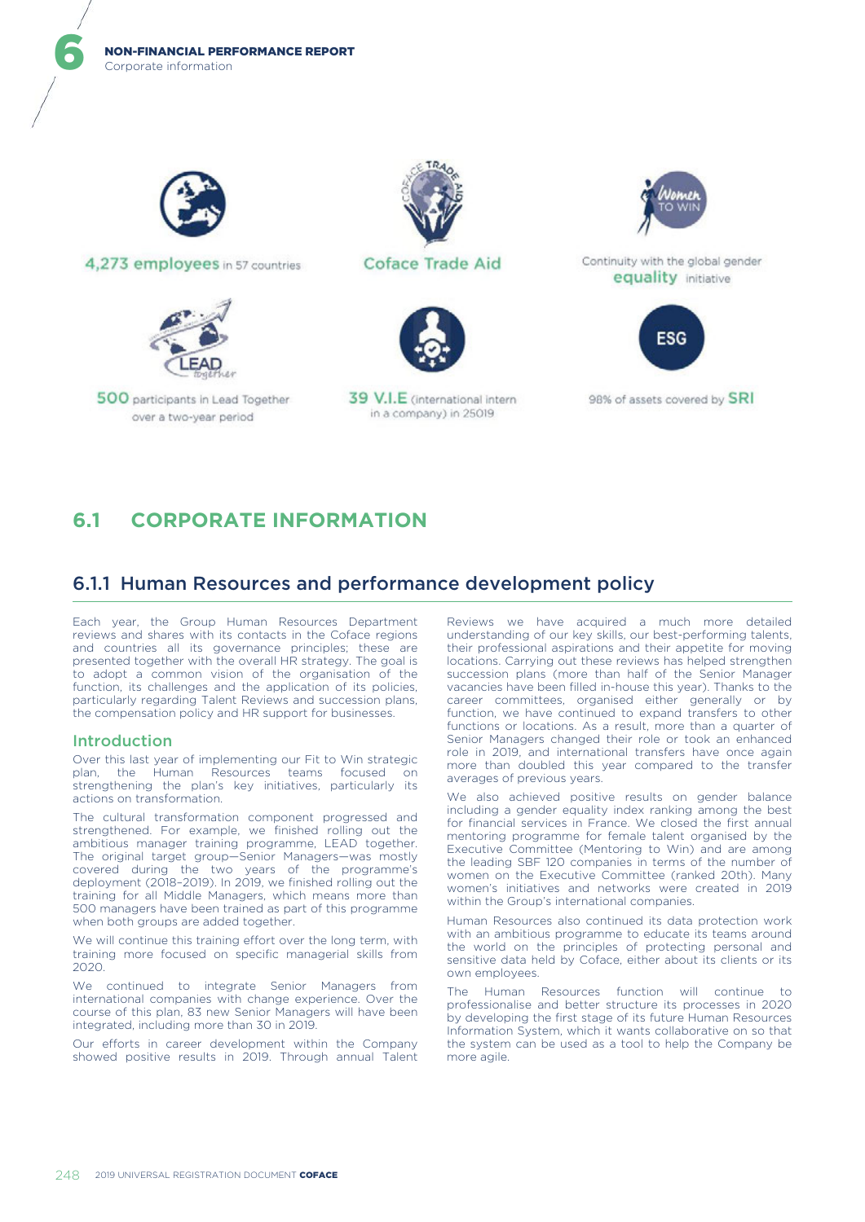Corporate information NON-FINANCIAL PERFORMANCE REPORT



6

4.273 employees in 57 countries



500 participants in Lead Together over a two-year period



**Coface Trade Aid** 

39 V.I.E (international intern

in a company) in 25019



Continuity with the global gender equality initiative



98% of assets covered by SRI

# **6.1 CORPORATE INFORMATION**

# 6.1.1 Human Resources and performance development policy

Each year, the Group Human Resources Department reviews and shares with its contacts in the Coface regions and countries all its governance principles; these are presented together with the overall HR strategy. The goal is to adopt a common vision of the organisation of the function, its challenges and the application of its policies, particularly regarding Talent Reviews and succession plans, the compensation policy and HR support for businesses.

## Introduction

Over this last year of implementing our Fit to Win strategic plan, the Human Resources teams focused on strengthening the plan's key initiatives, particularly its actions on transformation.

The cultural transformation component progressed and strengthened. For example, we finished rolling out the ambitious manager training programme, LEAD together. The original target group—Senior Managers—was mostly covered during the two years of the programme's deployment (2018–2019). In 2019, we finished rolling out the training for all Middle Managers, which means more than 500 managers have been trained as part of this programme when both groups are added together.

We will continue this training effort over the long term, with training more focused on specific managerial skills from 2020.

We continued to integrate Senior Managers from international companies with change experience. Over the course of this plan, 83 new Senior Managers will have been integrated, including more than 30 in 2019.

Our efforts in career development within the Company showed positive results in 2019. Through annual Talent Reviews we have acquired a much more detailed understanding of our key skills, our best-performing talents, their professional aspirations and their appetite for moving locations. Carrying out these reviews has helped strengthen succession plans (more than half of the Senior Manager vacancies have been filled in-house this year). Thanks to the career committees, organised either generally or by function, we have continued to expand transfers to other functions or locations. As a result, more than a quarter of Senior Managers changed their role or took an enhanced role in 2019, and international transfers have once again more than doubled this year compared to the transfer averages of previous years.

We also achieved positive results on gender balance including a gender equality index ranking among the best for financial services in France. We closed the first annual mentoring programme for female talent organised by the Executive Committee (Mentoring to Win) and are among the leading SBF 120 companies in terms of the number of women on the Executive Committee (ranked 20th). Many women's initiatives and networks were created in 2019 within the Group's international companies.

Human Resources also continued its data protection work with an ambitious programme to educate its teams around the world on the principles of protecting personal and sensitive data held by Coface, either about its clients or its own employees.

The Human Resources function will continue to professionalise and better structure its processes in 2020 by developing the first stage of its future Human Resources Information System, which it wants collaborative on so that the system can be used as a tool to help the Company be more agile.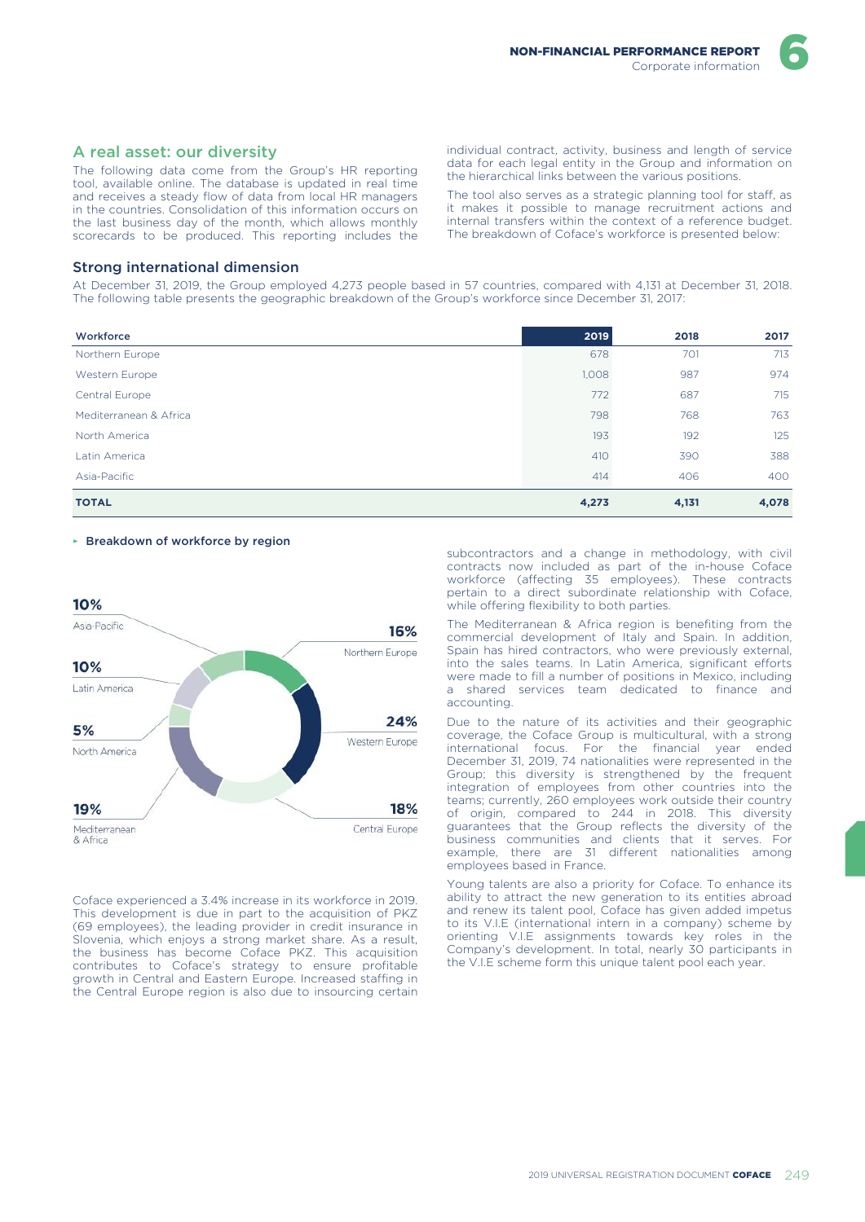The following data come from the Group's HR reporting tool, available online. The database is updated in real time and receives a steady flow of data from local HR managers in the countries. Consolidation of this information occurs on the last business day of the month, which allows monthly scorecards to be produced. This reporting includes the individual contract, activity, business and length of service data for each legal entity in the Group and information on the hierarchical links between the various positions.

The tool also serves as a strategic planning tool for staff, as it makes it possible to manage recruitment actions and internal transfers within the context of a reference budget. The breakdown of Coface's workforce is presented below:

### Strong international dimension

At December 31, 2019, the Group employed 4,273 people based in 57 countries, compared with 4,131 at December 31, 2018. The following table presents the geographic breakdown of the Group's workforce since December 31, 2017:

| Workforce              | 2019  | 2018  | 2017  |
|------------------------|-------|-------|-------|
| Northern Europe        | 678   | 701   | 713   |
| Western Europe         | 1,008 | 987   | 974   |
| Central Europe         | 772   | 687   | 715   |
| Mediterranean & Africa | 798   | 768   | 763   |
| North America          | 193   | 192   | 125   |
| Latin America          | 410   | 390   | 388   |
| Asia-Pacific           | 414   | 406   | 400   |
| <b>TOTAL</b>           | 4,273 | 4,131 | 4,078 |

#### ► Breakdown of workforce by region



Coface experienced a 3.4% increase in its workforce in 2019. This development is due in part to the acquisition of PKZ (69 employees), the leading provider in credit insurance in Slovenia, which enjoys a strong market share. As a result, the business has become Coface PKZ. This acquisition contributes to Coface's strategy to ensure profitable growth in Central and Eastern Europe. Increased staffing in the Central Europe region is also due to insourcing certain

subcontractors and a change in methodology, with civil contracts now included as part of the in-house Coface workforce (affecting 35 employees). These contracts pertain to a direct subordinate relationship with Coface, while offering flexibility to both parties.

The Mediterranean & Africa region is benefiting from the commercial development of Italy and Spain. In addition, Spain has hired contractors, who were previously external, into the sales teams. In Latin America, significant efforts were made to fill a number of positions in Mexico, including a shared services team dedicated to finance and accounting.

Due to the nature of its activities and their geographic coverage, the Coface Group is multicultural, with a strong international focus. For the financial year ended December 31, 2019, 74 nationalities were represented in the Group; this diversity is strengthened by the frequent integration of employees from other countries into the teams; currently, 260 employees work outside their country of origin, compared to 244 in 2018. This diversity guarantees that the Group reflects the diversity of the business communities and clients that it serves. For example, there are 31 different nationalities among employees based in France.

Young talents are also a priority for Coface. To enhance its ability to attract the new generation to its entities abroad and renew its talent pool, Coface has given added impetus to its V.I.E (international intern in a company) scheme by orienting V.I.E assignments towards key roles in the Company's development. In total, nearly 30 participants in the V.I.E scheme form this unique talent pool each year.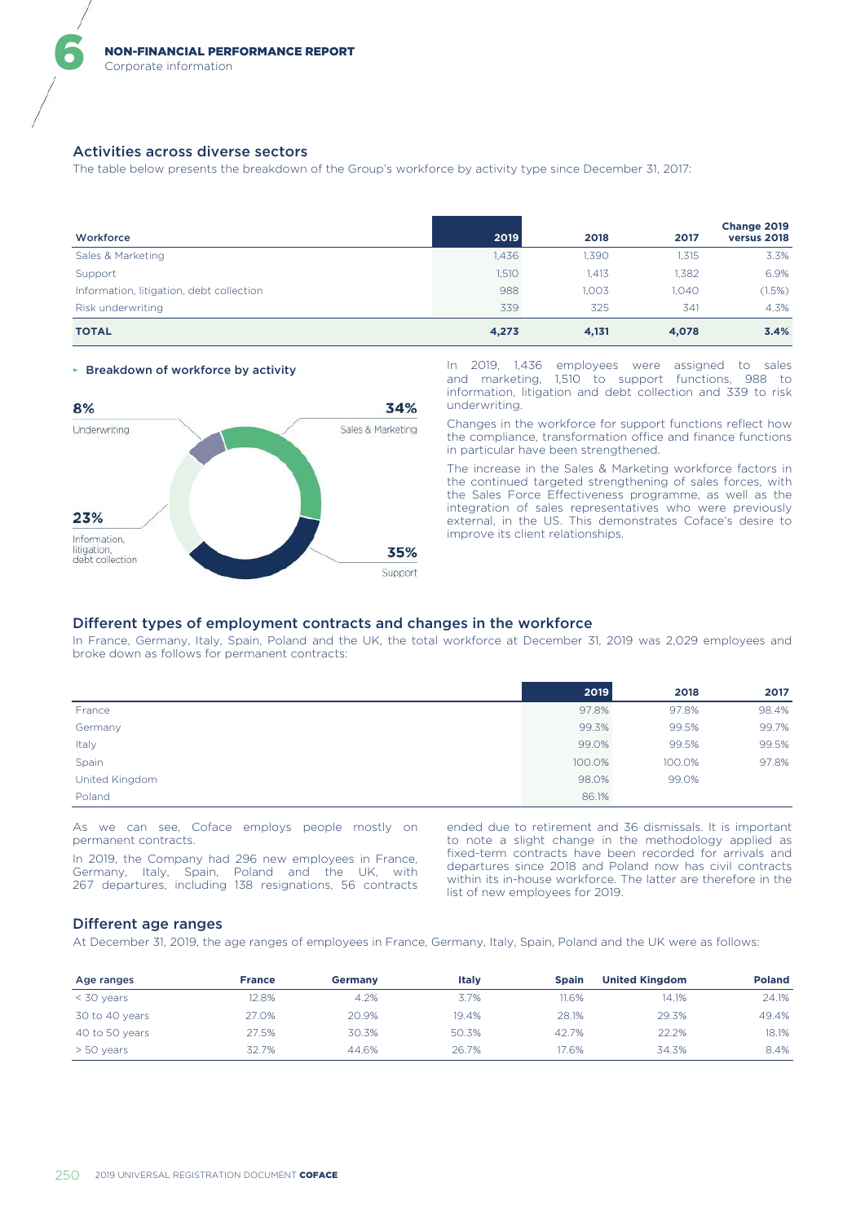### Activities across diverse sectors

6

The table below presents the breakdown of the Group's workforce by activity type since December 31, 2017:

| Workforce                                | 2019  | 2018  | 2017  | Change 2019<br>versus 2018 |
|------------------------------------------|-------|-------|-------|----------------------------|
| Sales & Marketing                        | 1,436 | 1,390 | 1,315 | 3.3%                       |
| Support                                  | 1,510 | 1.413 | 1.382 | 6.9%                       |
| Information, litigation, debt collection | 988   | 1.003 | 1.040 | (1.5%)                     |
| Risk underwriting                        | 339   | 325   | 341   | 4.3%                       |
| <b>TOTAL</b>                             | 4,273 | 4,131 | 4,078 | 3.4%                       |



► Breakdown of workforce by activity In 2019, 1,436 employees were assigned to sales and marketing, 1,510 to support functions, 988 to information, litigation and debt collection and 339 to risk underwriting.

> Changes in the workforce for support functions reflect how the compliance, transformation office and finance functions in particular have been strengthened.

> The increase in the Sales & Marketing workforce factors in the continued targeted strengthening of sales forces, with the Sales Force Effectiveness programme, as well as the integration of sales representatives who were previously external, in the US. This demonstrates Coface's desire to improve its client relationships.

### Different types of employment contracts and changes in the workforce

In France, Germany, Italy, Spain, Poland and the UK, the total workforce at December 31, 2019 was 2,029 employees and broke down as follows for permanent contracts:

|                | 2019   | 2018   | 2017  |
|----------------|--------|--------|-------|
| France         | 97.8%  | 97.8%  | 98.4% |
| Germany        | 99.3%  | 99.5%  | 99.7% |
| Italy          | 99.0%  | 99.5%  | 99.5% |
| Spain          | 100.0% | 100.0% | 97.8% |
| United Kingdom | 98.0%  | 99.0%  |       |
| Poland         | 86.1%  |        |       |

As we can see, Coface employs people mostly on permanent contracts.

In 2019, the Company had 296 new employees in France, Germany, Italy, Spain, Poland and the UK, with 267 departures, including 138 resignations, 56 contracts

ended due to retirement and 36 dismissals. It is important to note a slight change in the methodology applied as fixed-term contracts have been recorded for arrivals and departures since 2018 and Poland now has civil contracts within its in-house workforce. The latter are therefore in the list of new employees for 2019.

#### Different age ranges

At December 31, 2019, the age ranges of employees in France, Germany, Italy, Spain, Poland and the UK were as follows:

| Age ranges     | <b>France</b> | Germany | <b>Italy</b> | <b>Spain</b> | <b>United Kingdom</b> | <b>Poland</b> |
|----------------|---------------|---------|--------------|--------------|-----------------------|---------------|
| $<$ 30 years   | 12.8%         | 4.2%    | 3.7%         | 11.6%        | 14.1%                 | 24.1%         |
| 30 to 40 years | 27.0%         | 20.9%   | 19.4%        | 28.1%        | 29.3%                 | 49.4%         |
| 40 to 50 years | 27.5%         | 30.3%   | 50.3%        | 42.7%        | 22.2%                 | 18.1%         |
| > 50 years     | 32.7%         | 44.6%   | 26.7%        | 17.6%        | 34.3%                 | 8.4%          |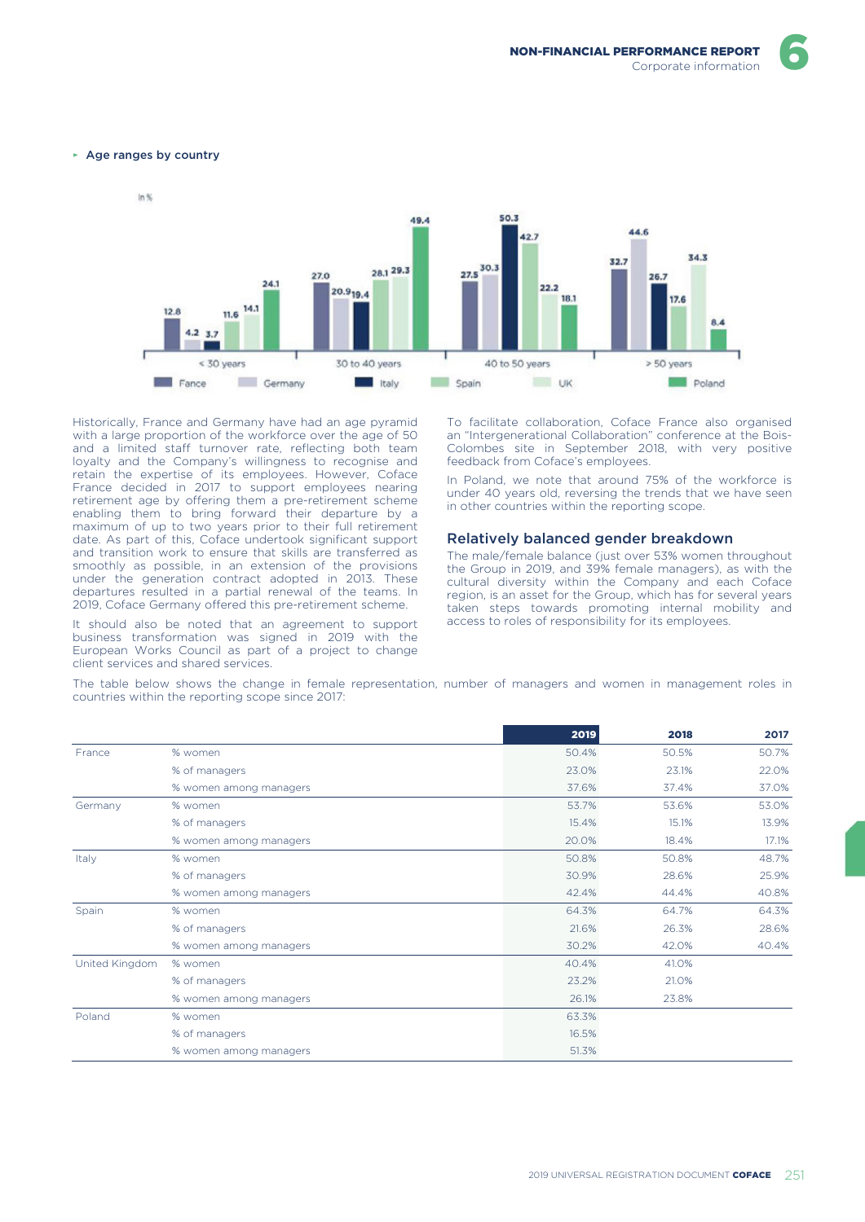► Age ranges by country



Historically, France and Germany have had an age pyramid with a large proportion of the workforce over the age of 50 and a limited staff turnover rate, reflecting both team loyalty and the Company's willingness to recognise and retain the expertise of its employees. However, Coface France decided in 2017 to support employees nearing retirement age by offering them a pre-retirement scheme enabling them to bring forward their departure by a maximum of up to two years prior to their full retirement date. As part of this, Coface undertook significant support and transition work to ensure that skills are transferred as smoothly as possible, in an extension of the provisions under the generation contract adopted in 2013. These departures resulted in a partial renewal of the teams. In 2019, Coface Germany offered this pre-retirement scheme.

It should also be noted that an agreement to support business transformation was signed in 2019 with the European Works Council as part of a project to change client services and shared services.

To facilitate collaboration, Coface France also organised an "Intergenerational Collaboration" conference at the Bois-Colombes site in September 2018, with very positive feedback from Coface's employees.

In Poland, we note that around 75% of the workforce is under 40 years old, reversing the trends that we have seen in other countries within the reporting scope.

#### Relatively balanced gender breakdown

The male/female balance (just over 53% women throughout the Group in 2019, and 39% female managers), as with the cultural diversity within the Company and each Coface region, is an asset for the Group, which has for several years taken steps towards promoting internal mobility and access to roles of responsibility for its employees.

The table below shows the change in female representation, number of managers and women in management roles in countries within the reporting scope since 2017:

|                |                        | 2019  | 2018  | 2017  |
|----------------|------------------------|-------|-------|-------|
| France         | % women                | 50.4% | 50.5% | 50.7% |
|                | % of managers          | 23.0% | 23.1% | 22.0% |
|                | % women among managers | 37.6% | 37.4% | 37.0% |
| Germany        | % women                | 53.7% | 53.6% | 53.0% |
|                | % of managers          | 15.4% | 15.1% | 13.9% |
|                | % women among managers | 20.0% | 18.4% | 17.1% |
| Italy          | % women                | 50.8% | 50.8% | 48.7% |
|                | % of managers          | 30.9% | 28.6% | 25.9% |
|                | % women among managers | 42.4% | 44.4% | 40.8% |
| Spain          | % women                | 64.3% | 64.7% | 64.3% |
|                | % of managers          | 21.6% | 26.3% | 28.6% |
|                | % women among managers | 30.2% | 42.0% | 40.4% |
| United Kingdom | % women                | 40.4% | 41.0% |       |
|                | % of managers          | 23.2% | 21.0% |       |
|                | % women among managers | 26.1% | 23.8% |       |
| Poland         | % women                | 63.3% |       |       |
|                | % of managers          | 16.5% |       |       |
|                | % women among managers | 51.3% |       |       |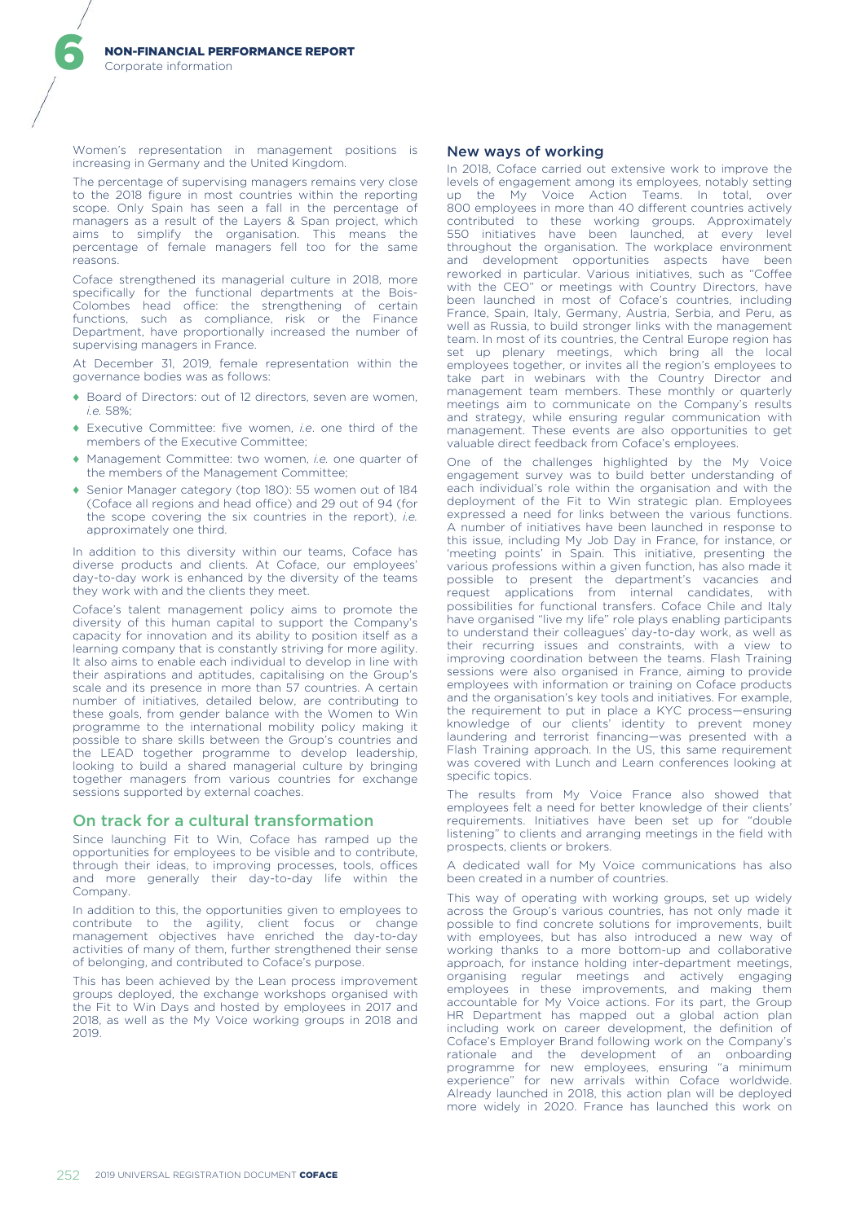Women's representation in management positions is increasing in Germany and the United Kingdom.

The percentage of supervising managers remains very close to the 2018 figure in most countries within the reporting scope. Only Spain has seen a fall in the percentage of managers as a result of the Layers & Span project, which aims to simplify the organisation. This means the percentage of female managers fell too for the same .<br>reasons.

Coface strengthened its managerial culture in 2018, more specifically for the functional departments at the Bois-Colombes head office: the strengthening of certain functions, such as compliance, risk or the Finance Department, have proportionally increased the number of supervising managers in France.

At December 31, 2019, female representation within the governance bodies was as follows:

- ♦ Board of Directors: out of 12 directors, seven are women, *i.e.* 58%;
- ♦ Executive Committee: five women, *i.e*. one third of the members of the Executive Committee;
- ♦ Management Committee: two women, *i.e.* one quarter of the members of the Management Committee;
- ♦ Senior Manager category (top 180): 55 women out of 184 (Coface all regions and head office) and 29 out of 94 (for the scope covering the six countries in the report), *i.e.* approximately one third.

In addition to this diversity within our teams, Coface has diverse products and clients. At Coface, our employees' day-to-day work is enhanced by the diversity of the teams they work with and the clients they meet.

Coface's talent management policy aims to promote the diversity of this human capital to support the Company's capacity for innovation and its ability to position itself as a learning company that is constantly striving for more agility. It also aims to enable each individual to develop in line with their aspirations and aptitudes, capitalising on the Group's scale and its presence in more than 57 countries. A certain number of initiatives, detailed below, are contributing to these goals, from gender balance with the Women to Win programme to the international mobility policy making it possible to share skills between the Group's countries and the LEAD together programme to develop leadership, looking to build a shared managerial culture by bringing together managers from various countries for exchange sessions supported by external coaches.

## On track for a cultural transformation

Since launching Fit to Win, Coface has ramped up the opportunities for employees to be visible and to contribute, through their ideas, to improving processes, tools, offices and more generally their day-to-day life within the Company.

In addition to this, the opportunities given to employees to contribute to the agility, client focus or change management objectives have enriched the day-to-day activities of many of them, further strengthened their sense of belonging, and contributed to Coface's purpose.

This has been achieved by the Lean process improvement groups deployed, the exchange workshops organised with the Fit to Win Days and hosted by employees in 2017 and 2018, as well as the My Voice working groups in 2018 and 2019.

## New ways of working

In 2018, Coface carried out extensive work to improve the levels of engagement among its employees, notably setting up the My Voice Action Teams. In total, over 800 employees in more than 40 different countries actively contributed to these working groups. Approximately 550 initiatives have been launched, at every level throughout the organisation. The workplace environment and development opportunities aspects have been reworked in particular. Various initiatives, such as "Coffee with the CEO" or meetings with Country Directors, have been launched in most of Coface's countries, including France, Spain, Italy, Germany, Austria, Serbia, and Peru, as well as Russia, to build stronger links with the management team. In most of its countries, the Central Europe region has set up plenary meetings, which bring all the local employees together, or invites all the region's employees to take part in webinars with the Country Director and management team members. These monthly or quarterly meetings aim to communicate on the Company's results and strategy, while ensuring regular communication with management. These events are also opportunities to get valuable direct feedback from Coface's employees.

One of the challenges highlighted by the My Voice engagement survey was to build better understanding of each individual's role within the organisation and with the deployment of the Fit to Win strategic plan. Employees expressed a need for links between the various functions. A number of initiatives have been launched in response to this issue, including My Job Day in France, for instance, or 'meeting points' in Spain. This initiative, presenting the various professions within a given function, has also made it possible to present the department's vacancies and request applications from internal candidates, with possibilities for functional transfers. Coface Chile and Italy have organised "live my life" role plays enabling participants to understand their colleagues' day-to-day work, as well as their recurring issues and constraints, with a view to improving coordination between the teams. Flash Training sessions were also organised in France, aiming to provide employees with information or training on Coface products and the organisation's key tools and initiatives. For example, the requirement to put in place a KYC process—ensuring knowledge of our clients' identity to prevent money laundering and terrorist financing—was presented with a Flash Training approach. In the US, this same requirement was covered with Lunch and Learn conferences looking at specific topics.

The results from My Voice France also showed that employees felt a need for better knowledge of their clients' requirements. Initiatives have been set up for "double listening" to clients and arranging meetings in the field with prospects, clients or brokers.

A dedicated wall for My Voice communications has also been created in a number of countries.

This way of operating with working groups, set up widely across the Group's various countries, has not only made it possible to find concrete solutions for improvements, built with employees, but has also introduced a new way of working thanks to a more bottom-up and collaborative approach, for instance holding inter-department meetings, organising regular meetings and actively engaging employees in these improvements, and making them accountable for My Voice actions. For its part, the Group HR Department has mapped out a global action plan including work on career development, the definition of Coface's Employer Brand following work on the Company's rationale and the development of an onboarding programme for new employees, ensuring "a minimum experience" for new arrivals within Coface worldwide. Already launched in 2018, this action plan will be deployed more widely in 2020. France has launched this work on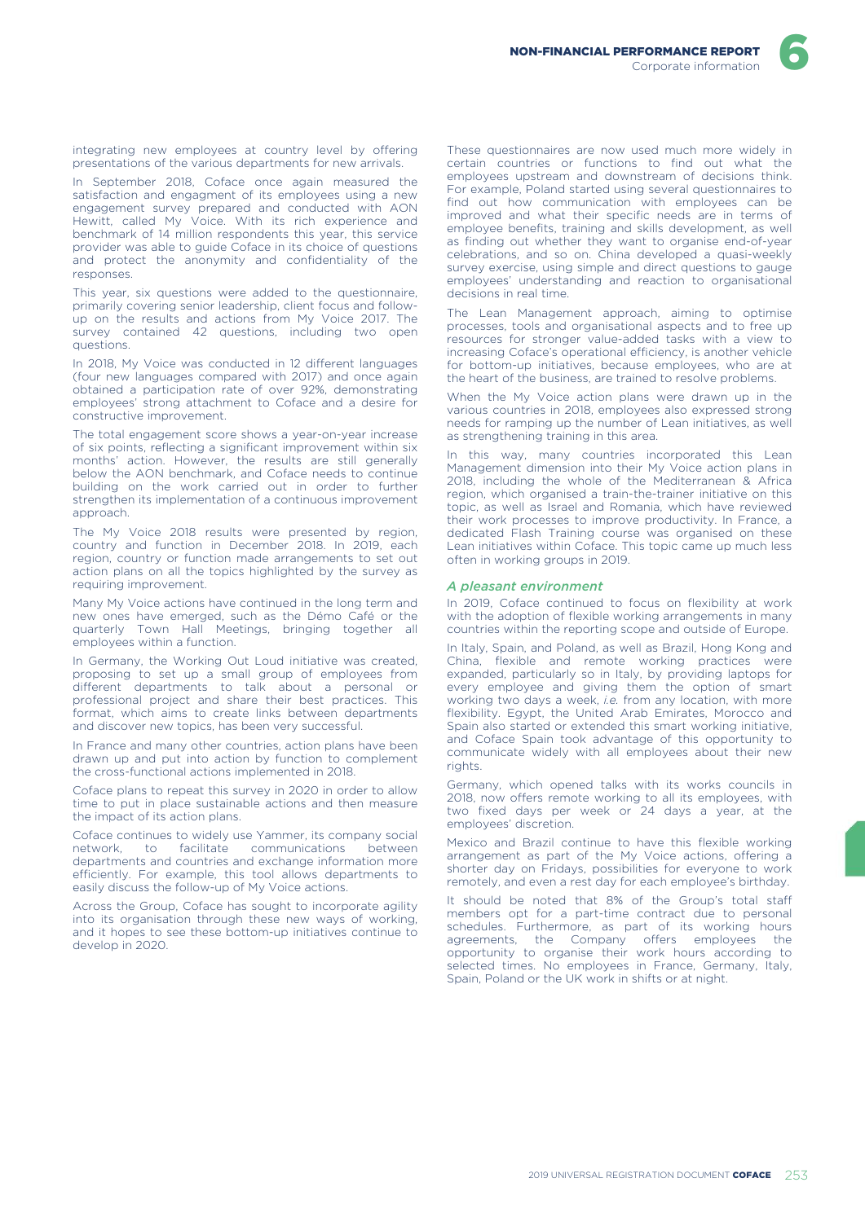integrating new employees at country level by offering presentations of the various departments for new arrivals.

In September 2018, Coface once again measured the satisfaction and engagment of its employees using a new engagement survey prepared and conducted with AON Hewitt, called My Voice. With its rich experience and benchmark of 14 million respondents this year, this service provider was able to guide Coface in its choice of questions and protect the anonymity and confidentiality of the responses.

This year, six questions were added to the questionnaire, primarily covering senior leadership, client focus and followup on the results and actions from My Voice 2017. The survey contained 42 questions, including two open questions.

In 2018, My Voice was conducted in 12 different languages (four new languages compared with 2017) and once again obtained a participation rate of over 92%, demonstrating employees' strong attachment to Coface and a desire for constructive improvement.

The total engagement score shows a year-on-year increase of six points, reflecting a significant improvement within six months' action. However, the results are still generally below the AON benchmark, and Coface needs to continue building on the work carried out in order to further strengthen its implementation of a continuous improvement approach.

The My Voice 2018 results were presented by region, country and function in December 2018. In 2019, each region, country or function made arrangements to set out action plans on all the topics highlighted by the survey as requiring improvement.

Many My Voice actions have continued in the long term and new ones have emerged, such as the Démo Café or the quarterly Town Hall Meetings, bringing together all employees within a function.

In Germany, the Working Out Loud initiative was created, proposing to set up a small group of employees from different departments to talk about a personal or professional project and share their best practices. This format, which aims to create links between departments and discover new topics, has been very successful.

In France and many other countries, action plans have been drawn up and put into action by function to complement the cross-functional actions implemented in 2018.

Coface plans to repeat this survey in 2020 in order to allow time to put in place sustainable actions and then measure the impact of its action plans.

Coface continues to widely use Yammer, its company social network, to facilitate communications between departments and countries and exchange information more efficiently. For example, this tool allows departments to easily discuss the follow-up of My Voice actions.

Across the Group, Coface has sought to incorporate agility into its organisation through these new ways of working, and it hopes to see these bottom-up initiatives continue to develop in 2020.

These questionnaires are now used much more widely in certain countries or functions to find out what the employees upstream and downstream of decisions think. For example, Poland started using several questionnaires to find out how communication with employees can be improved and what their specific needs are in terms of employee benefits, training and skills development, as well as finding out whether they want to organise end-of-year celebrations, and so on. China developed a quasi-weekly survey exercise, using simple and direct questions to gauge employees' understanding and reaction to organisational decisions in real time.

The Lean Management approach, aiming to optimise processes, tools and organisational aspects and to free up resources for stronger value-added tasks with a view to increasing Coface's operational efficiency, is another vehicle for bottom-up initiatives, because employees, who are at the heart of the business, are trained to resolve problems.

When the My Voice action plans were drawn up in the various countries in 2018, employees also expressed strong needs for ramping up the number of Lean initiatives, as well as strengthening training in this area.

In this way, many countries incorporated this Lean Management dimension into their My Voice action plans in 2018, including the whole of the Mediterranean & Africa region, which organised a train-the-trainer initiative on this topic, as well as Israel and Romania, which have reviewed their work processes to improve productivity. In France, a dedicated Flash Training course was organised on these Lean initiatives within Coface. This topic came up much less often in working groups in 2019.

#### *A pleasant environment*

In 2019, Coface continued to focus on flexibility at work with the adoption of flexible working arrangements in many countries within the reporting scope and outside of Europe.

In Italy, Spain, and Poland, as well as Brazil, Hong Kong and China, flexible and remote working practices were expanded, particularly so in Italy, by providing laptops for every employee and giving them the option of smart working two days a week, *i.e.* from any location, with more flexibility. Egypt, the United Arab Emirates, Morocco and Spain also started or extended this smart working initiative, and Coface Spain took advantage of this opportunity to communicate widely with all employees about their new rights

Germany, which opened talks with its works councils in 2018, now offers remote working to all its employees, with two fixed days per week or 24 days a year, at the employees' discretion.

Mexico and Brazil continue to have this flexible working arrangement as part of the My Voice actions, offering a shorter day on Fridays, possibilities for everyone to work remotely, and even a rest day for each employee's birthday.

It should be noted that 8% of the Group's total staff members opt for a part-time contract due to personal schedules. Furthermore, as part of its working hours agreements, the Company offers employees the opportunity to organise their work hours according to selected times. No employees in France, Germany, Italy, Spain, Poland or the UK work in shifts or at night.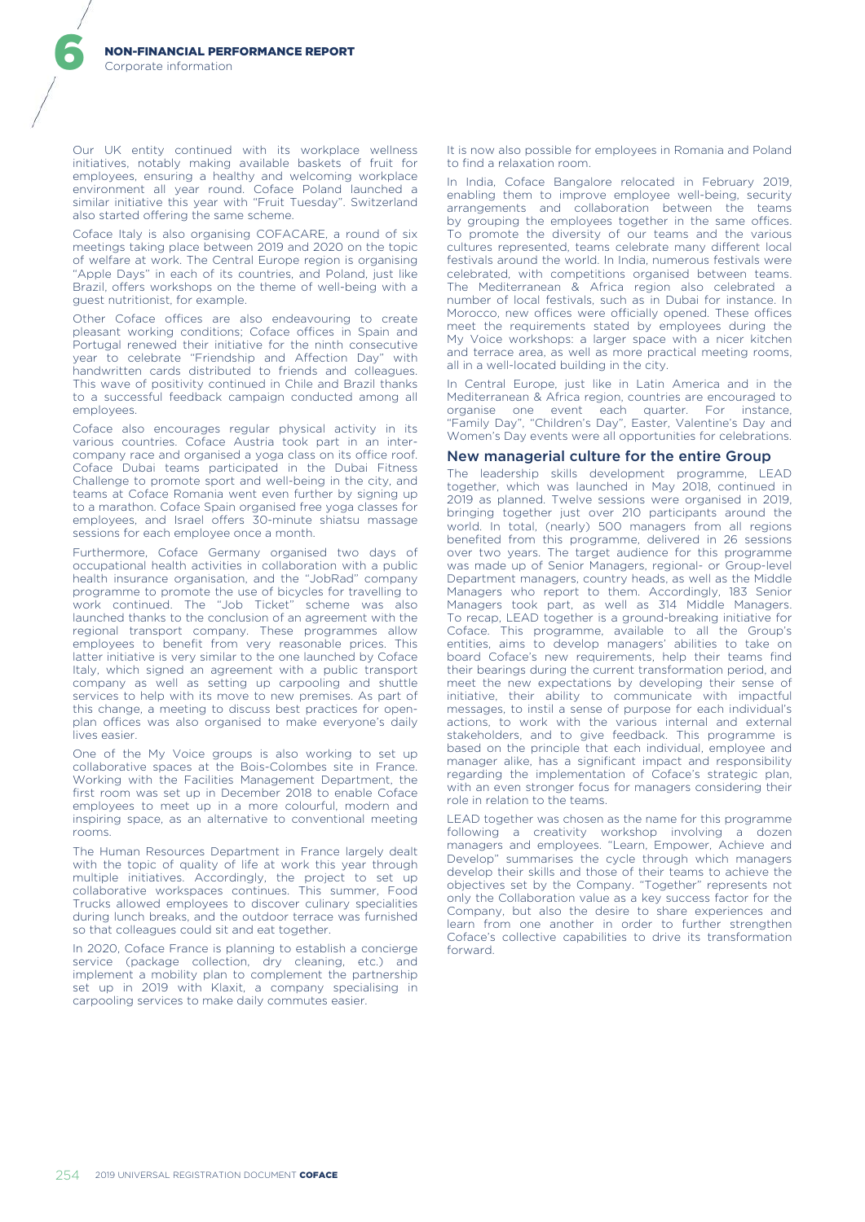Our UK entity continued with its workplace wellness initiatives, notably making available baskets of fruit for employees, ensuring a healthy and welcoming workplace environment all year round. Coface Poland launched a similar initiative this year with "Fruit Tuesday". Switzerland also started offering the same scheme.

Coface Italy is also organising COFACARE, a round of six meetings taking place between 2019 and 2020 on the topic of welfare at work. The Central Europe region is organising "Apple Days" in each of its countries, and Poland, just like Brazil, offers workshops on the theme of well-being with a guest nutritionist, for example.

Other Coface offices are also endeavouring to create pleasant working conditions; Coface offices in Spain and Portugal renewed their initiative for the ninth consecutive year to celebrate "Friendship and Affection Day" with handwritten cards distributed to friends and colleagues. This wave of positivity continued in Chile and Brazil thanks to a successful feedback campaign conducted among all employees.

Coface also encourages regular physical activity in its various countries. Coface Austria took part in an intercompany race and organised a yoga class on its office roof. Coface Dubai teams participated in the Dubai Fitness Challenge to promote sport and well-being in the city, and teams at Coface Romania went even further by signing up to a marathon. Coface Spain organised free yoga classes for employees, and Israel offers 30-minute shiatsu massage sessions for each employee once a month.

Furthermore, Coface Germany organised two days of occupational health activities in collaboration with a public health insurance organisation, and the "JobRad" company programme to promote the use of bicycles for travelling to work continued. The "Job Ticket" scheme was also launched thanks to the conclusion of an agreement with the regional transport company. These programmes allow employees to benefit from very reasonable prices. This latter initiative is very similar to the one launched by Coface Italy, which signed an agreement with a public transport company as well as setting up carpooling and shuttle services to help with its move to new premises. As part of this change, a meeting to discuss best practices for openplan offices was also organised to make everyone's daily lives easier.

One of the My Voice groups is also working to set up collaborative spaces at the Bois-Colombes site in France. Working with the Facilities Management Department, the first room was set up in December 2018 to enable Coface employees to meet up in a more colourful, modern and inspiring space, as an alternative to conventional meeting rooms.

The Human Resources Department in France largely dealt with the topic of quality of life at work this year through multiple initiatives. Accordingly, the project to set up collaborative workspaces continues. This summer, Food Trucks allowed employees to discover culinary specialities during lunch breaks, and the outdoor terrace was furnished so that colleagues could sit and eat together.

In 2020, Coface France is planning to establish a concierge service (package collection, dry cleaning, etc.) and implement a mobility plan to complement the partnership set up in 2019 with Klaxit, a company specialising in carpooling services to make daily commutes easier.

It is now also possible for employees in Romania and Poland to find a relaxation room.

In India, Coface Bangalore relocated in February 2019, enabling them to improve employee well-being, security arrangements and collaboration between the teams by grouping the employees together in the same offices. To promote the diversity of our teams and the various cultures represented, teams celebrate many different local festivals around the world. In India, numerous festivals were celebrated, with competitions organised between teams. The Mediterranean & Africa region also celebrated a number of local festivals, such as in Dubai for instance. In Morocco, new offices were officially opened. These offices meet the requirements stated by employees during the My Voice workshops: a larger space with a nicer kitchen and terrace area, as well as more practical meeting rooms, all in a well-located building in the city.

In Central Europe, just like in Latin America and in the Mediterranean & Africa region, countries are encouraged to organise one event each quarter. For instance, "Family Day", "Children's Day", Easter, Valentine's Day and Women's Day events were all opportunities for celebrations.

#### New managerial culture for the entire Group

The leadership skills development programme, LEAD together, which was launched in May 2018, continued in 2019 as planned. Twelve sessions were organised in 2019, bringing together just over 210 participants around the world. In total, (nearly) 500 managers from all regions benefited from this programme, delivered in 26 sessions over two years. The target audience for this programme was made up of Senior Managers, regional- or Group-level Department managers, country heads, as well as the Middle Managers who report to them. Accordingly, 183 Senior Managers took part, as well as 314 Middle Managers. To recap, LEAD together is a ground-breaking initiative for Coface. This programme, available to all the Group's entities, aims to develop managers' abilities to take on board Coface's new requirements, help their teams find their bearings during the current transformation period, and meet the new expectations by developing their sense of initiative, their ability to communicate with impactful messages, to instil a sense of purpose for each individual's actions, to work with the various internal and external stakeholders, and to give feedback. This programme is based on the principle that each individual, employee and manager alike, has a significant impact and responsibility regarding the implementation of Coface's strategic plan, with an even stronger focus for managers considering their role in relation to the teams.

LEAD together was chosen as the name for this programme following a creativity workshop involving a dozen managers and employees. "Learn, Empower, Achieve and Develop" summarises the cycle through which managers develop their skills and those of their teams to achieve the objectives set by the Company. "Together" represents not only the Collaboration value as a key success factor for the Company, but also the desire to share experiences and learn from one another in order to further strengthen Coface's collective capabilities to drive its transformation forward.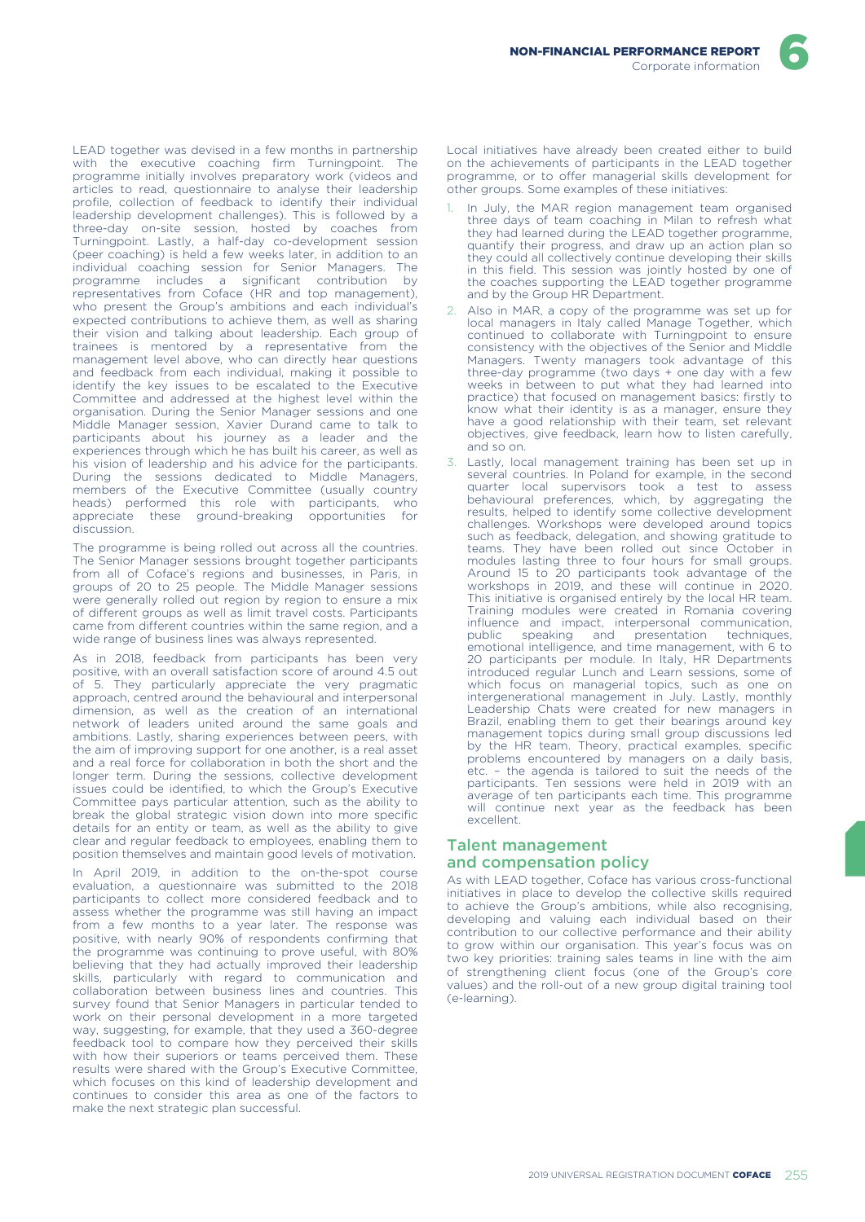LEAD together was devised in a few months in partnership with the executive coaching firm Turningpoint. The programme initially involves preparatory work (videos and articles to read, questionnaire to analyse their leadership profile, collection of feedback to identify their individual leadership development challenges). This is followed by a three-day on-site session, hosted by coaches from Turningpoint. Lastly, a half-day co-development session (peer coaching) is held a few weeks later, in addition to an individual coaching session for Senior Managers. The programme includes a significant contribution by representatives from Coface (HR and top management), who present the Group's ambitions and each individual's expected contributions to achieve them, as well as sharing their vision and talking about leadership. Each group of trainees is mentored by a representative from the management level above, who can directly hear questions and feedback from each individual, making it possible to identify the key issues to be escalated to the Executive Committee and addressed at the highest level within the organisation. During the Senior Manager sessions and one Middle Manager session, Xavier Durand came to talk to participants about his journey as a leader and the experiences through which he has built his career, as well as his vision of leadership and his advice for the participants. During the sessions dedicated to Middle Managers, members of the Executive Committee (usually country heads) performed this role with participants, who appreciate these ground-breaking opportunities for discussion.

The programme is being rolled out across all the countries. The Senior Manager sessions brought together participants from all of Coface's regions and businesses, in Paris, in groups of 20 to 25 people. The Middle Manager sessions were generally rolled out region by region to ensure a mix of different groups as well as limit travel costs. Participants came from different countries within the same region, and a wide range of business lines was always represented.

As in 2018, feedback from participants has been very positive, with an overall satisfaction score of around 4.5 out of 5. They particularly appreciate the very pragmatic approach, centred around the behavioural and interpersonal dimension, as well as the creation of an international network of leaders united around the same goals and ambitions. Lastly, sharing experiences between peers, with the aim of improving support for one another, is a real asset and a real force for collaboration in both the short and the longer term. During the sessions, collective development issues could be identified, to which the Group's Executive Committee pays particular attention, such as the ability to break the global strategic vision down into more specific details for an entity or team, as well as the ability to give clear and regular feedback to employees, enabling them to position themselves and maintain good levels of motivation.

In April 2019, in addition to the on-the-spot course evaluation, a questionnaire was submitted to the 2018 participants to collect more considered feedback and to assess whether the programme was still having an impact from a few months to a year later. The response was positive, with nearly 90% of respondents confirming that the programme was continuing to prove useful, with 80% believing that they had actually improved their leadership skills, particularly with regard to communication and collaboration between business lines and countries. This survey found that Senior Managers in particular tended to work on their personal development in a more targeted way, suggesting, for example, that they used a 360-degree feedback tool to compare how they perceived their skills with how their superiors or teams perceived them. These results were shared with the Group's Executive Committee, which focuses on this kind of leadership development and continues to consider this area as one of the factors to make the next strategic plan successful.

Local initiatives have already been created either to build on the achievements of participants in the LEAD together programme, or to offer managerial skills development for other groups. Some examples of these initiatives:

- In July, the MAR region management team organised three days of team coaching in Milan to refresh what they had learned during the LEAD together programme, quantify their progress, and draw up an action plan so they could all collectively continue developing their skills in this field. This session was jointly hosted by one of the coaches supporting the LEAD together programme and by the Group HR Department.
- Also in MAR, a copy of the programme was set up for local managers in Italy called Manage Together, which continued to collaborate with Turningpoint to ensure consistency with the objectives of the Senior and Middle Managers. Twenty managers took advantage of this three-day programme (two days + one day with a few weeks in between to put what they had learned into practice) that focused on management basics: firstly to know what their identity is as a manager, ensure they have a good relationship with their team, set relevant objectives, give feedback, learn how to listen carefully, and so on.
- 3. Lastly, local management training has been set up in several countries. In Poland for example, in the second quarter local supervisors took a test to assess behavioural preferences, which, by aggregating the results, helped to identify some collective development challenges. Workshops were developed around topics such as feedback, delegation, and showing gratitude to teams. They have been rolled out since October in modules lasting three to four hours for small groups. Around 15 to 20 participants took advantage of the workshops in 2019, and these will continue in 2020. This initiative is organised entirely by the local HR team. Training modules were created in Romania covering influence and impact, interpersonal communication,<br>public speaking and presentation techniques, presentation emotional intelligence, and time management, with 6 to 20 participants per module. In Italy, HR Departments introduced regular Lunch and Learn sessions, some of which focus on managerial topics, such as one on intergenerational management in July. Lastly, monthly Leadership Chats were created for new managers in Brazil, enabling them to get their bearings around key management topics during small group discussions led by the HR team. Theory, practical examples, specific problems encountered by managers on a daily basis, etc. – the agenda is tailored to suit the needs of the participants. Ten sessions were held in 2019 with an average of ten participants each time. This programme will continue next year as the feedback has been excellent.

# Talent management and compensation policy

As with LEAD together, Coface has various cross-functional initiatives in place to develop the collective skills required to achieve the Group's ambitions, while also recognising, developing and valuing each individual based on their contribution to our collective performance and their ability to grow within our organisation. This year's focus was on two key priorities: training sales teams in line with the aim of strengthening client focus (one of the Group's core values) and the roll-out of a new group digital training tool (e-learning).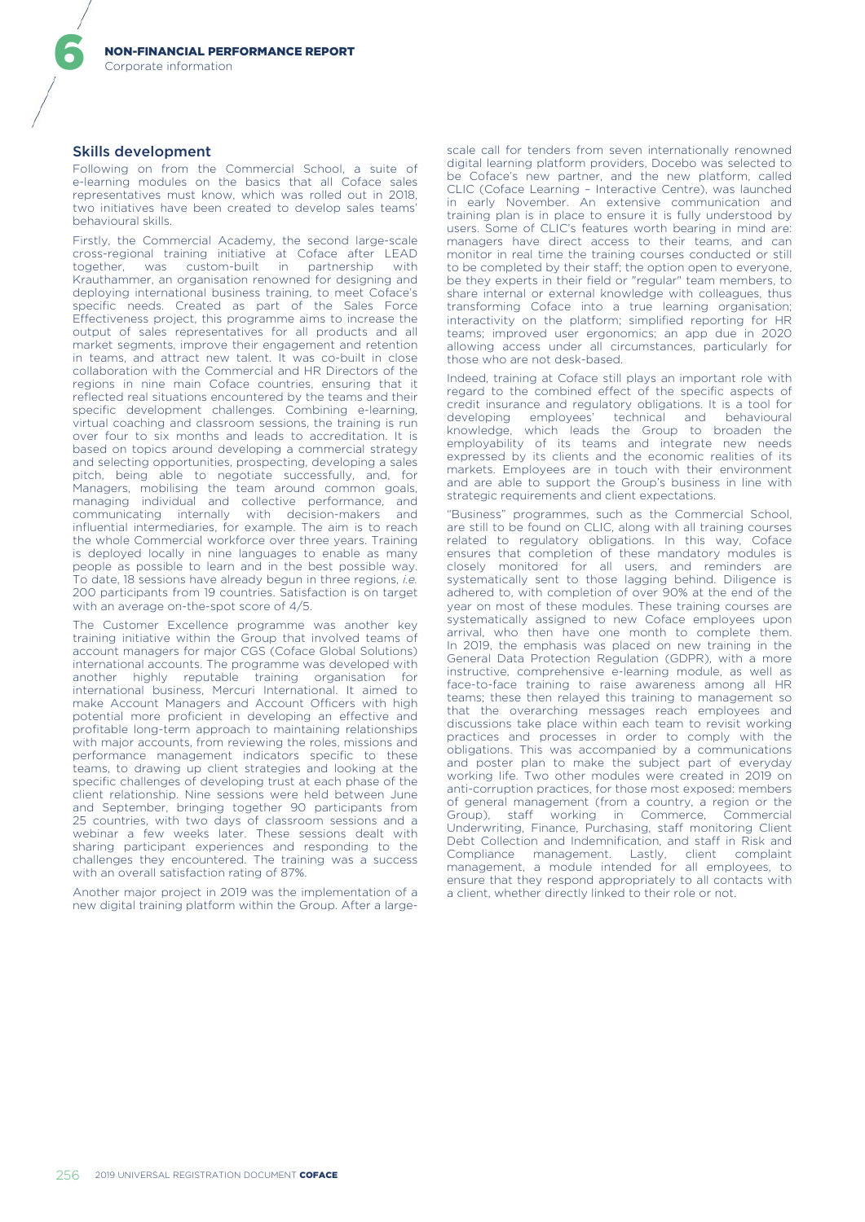### Skills development

6

Following on from the Commercial School, a suite of e-learning modules on the basics that all Coface sales representatives must know, which was rolled out in 2018, two initiatives have been created to develop sales teams' behavioural skills.

Firstly, the Commercial Academy, the second large-scale cross-regional training initiative at Coface after LEAD together, was custom-built in partnership with Krauthammer, an organisation renowned for designing and deploying international business training, to meet Coface's specific needs. Created as part of the Sales Force Effectiveness project, this programme aims to increase the output of sales representatives for all products and all market segments, improve their engagement and retention in teams, and attract new talent. It was co-built in close collaboration with the Commercial and HR Directors of the regions in nine main Coface countries, ensuring that it reflected real situations encountered by the teams and their specific development challenges. Combining e-learning, virtual coaching and classroom sessions, the training is run over four to six months and leads to accreditation. It is based on topics around developing a commercial strategy and selecting opportunities, prospecting, developing a sales pitch, being able to negotiate successfully, and, for Managers, mobilising the team around common goals, managing individual and collective performance, and communicating internally with decision-makers and influential intermediaries, for example. The aim is to reach the whole Commercial workforce over three years. Training is deployed locally in nine languages to enable as many people as possible to learn and in the best possible way. To date, 18 sessions have already begun in three regions, *i.e.* 200 participants from 19 countries. Satisfaction is on target with an average on-the-spot score of 4/5.

The Customer Excellence programme was another key training initiative within the Group that involved teams of account managers for major CGS (Coface Global Solutions) international accounts. The programme was developed with another highly reputable training organisation for international business, Mercuri International. It aimed to make Account Managers and Account Officers with high potential more proficient in developing an effective and profitable long-term approach to maintaining relationships with major accounts, from reviewing the roles, missions and performance management indicators specific to these teams, to drawing up client strategies and looking at the specific challenges of developing trust at each phase of the client relationship. Nine sessions were held between June and September, bringing together 90 participants from 25 countries, with two days of classroom sessions and a webinar a few weeks later. These sessions dealt with sharing participant experiences and responding to the challenges they encountered. The training was a success with an overall satisfaction rating of 87%.

Another major project in 2019 was the implementation of a new digital training platform within the Group. After a largescale call for tenders from seven internationally renowned digital learning platform providers, Docebo was selected to be Coface's new partner, and the new platform, called CLIC (Coface Learning – Interactive Centre), was launched in early November. An extensive communication and training plan is in place to ensure it is fully understood by users. Some of CLIC's features worth bearing in mind are: managers have direct access to their teams, and can monitor in real time the training courses conducted or still to be completed by their staff; the option open to everyone, be they experts in their field or "regular" team members, to share internal or external knowledge with colleagues, thus transforming Coface into a true learning organisation; interactivity on the platform; simplified reporting for HR teams; improved user ergonomics; an app due in 2020 allowing access under all circumstances, particularly for those who are not desk-based.

Indeed, training at Coface still plays an important role with regard to the combined effect of the specific aspects of credit insurance and regulatory obligations. It is a tool for developing employees' technical and behavioural knowledge, which leads the Group to broaden the employability of its teams and integrate new needs expressed by its clients and the economic realities of its markets. Employees are in touch with their environment and are able to support the Group's business in line with strategic requirements and client expectations.

"Business" programmes, such as the Commercial School, are still to be found on CLIC, along with all training courses related to regulatory obligations. In this way, Coface ensures that completion of these mandatory modules is closely monitored for all users, and reminders are systematically sent to those lagging behind. Diligence is adhered to, with completion of over 90% at the end of the year on most of these modules. These training courses are systematically assigned to new Coface employees upon arrival, who then have one month to complete them. In 2019, the emphasis was placed on new training in the General Data Protection Regulation (GDPR), with a more instructive, comprehensive e-learning module, as well as face-to-face training to raise awareness among all HR teams; these then relayed this training to management so that the overarching messages reach employees and discussions take place within each team to revisit working practices and processes in order to comply with the obligations. This was accompanied by a communications and poster plan to make the subject part of everyday working life. Two other modules were created in 2019 on anti-corruption practices, for those most exposed: members of general management (from a country, a region or the Group), staff working in Commerce, Commercial Underwriting, Finance, Purchasing, staff monitoring Client Debt Collection and Indemnification, and staff in Risk and Compliance management. Lastly, client complaint management, a module intended for all employees, to ensure that they respond appropriately to all contacts with a client, whether directly linked to their role or not.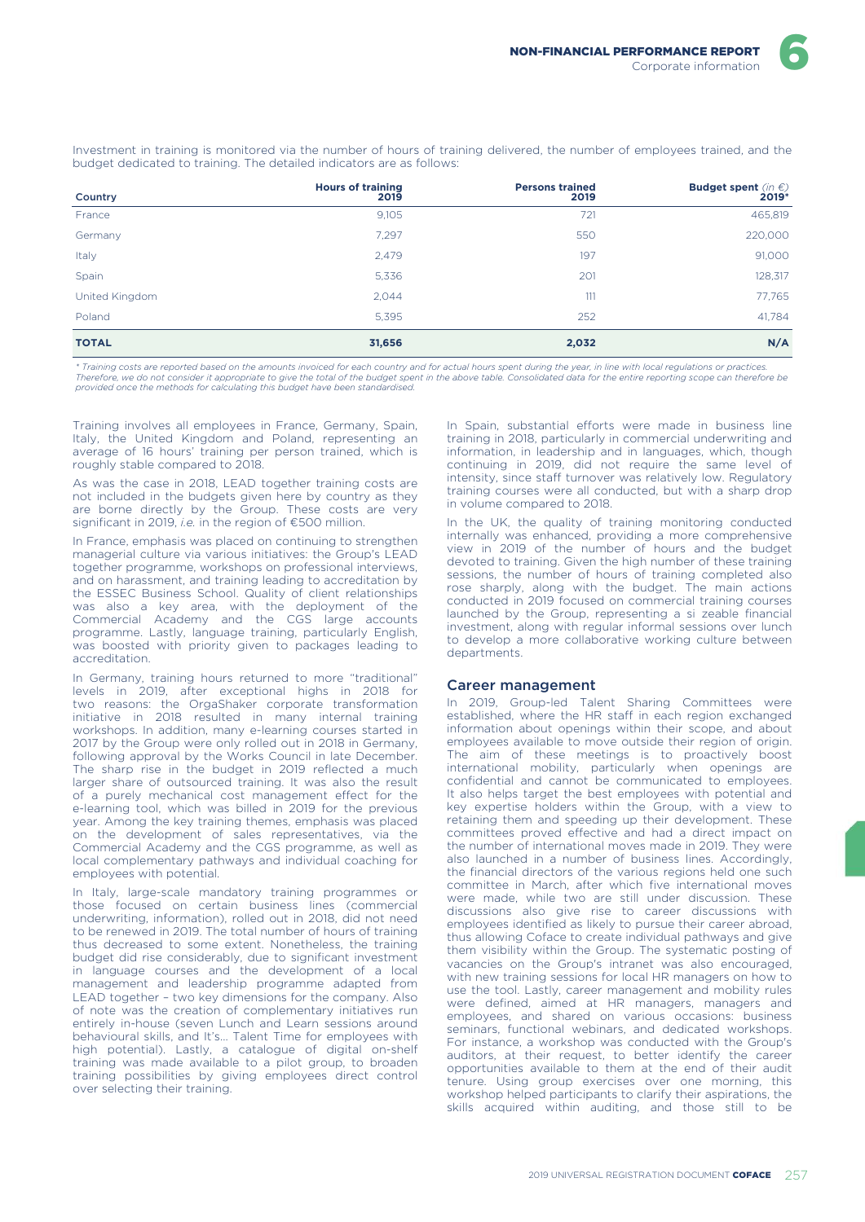Investment in training is monitored via the number of hours of training delivered, the number of employees trained, and the budget dedicated to training. The detailed indicators are as follows:

| Country        | <b>Hours of training</b><br>2019 | <b>Persons trained</b><br>2019 | <b>Budget spent</b> (in $\epsilon$ )<br>2019* |
|----------------|----------------------------------|--------------------------------|-----------------------------------------------|
| France         | 9,105                            | 721                            | 465,819                                       |
| Germany        | 7,297                            | 550                            | 220,000                                       |
| Italy          | 2,479                            | 197                            | 91,000                                        |
| Spain          | 5,336                            | 201                            | 128,317                                       |
| United Kingdom | 2,044                            | 111                            | 77,765                                        |
| Poland         | 5,395                            | 252                            | 41,784                                        |
| <b>TOTAL</b>   | 31,656                           | 2,032                          | N/A                                           |

*\* Training costs are reported based on the amounts invoiced for each country and for actual hours spent during the year, in line with local regulations or practices.*  Therefore, we do not consider it appropriate to give the total of the budget spent in the above table. Consolidated data for the entire reporting scope can therefore be<br>provided once the methods for calculating this budget

Training involves all employees in France, Germany, Spain, Italy, the United Kingdom and Poland, representing an average of 16 hours' training per person trained, which is roughly stable compared to 2018.

As was the case in 2018, LEAD together training costs are not included in the budgets given here by country as they are borne directly by the Group. These costs are very significant in 2019, *i.e.* in the region of €500 million.

In France, emphasis was placed on continuing to strengthen managerial culture via various initiatives: the Group's LEAD together programme, workshops on professional interviews, and on harassment, and training leading to accreditation by the ESSEC Business School. Quality of client relationships was also a key area, with the deployment of the Commercial Academy and the CGS large accounts programme. Lastly, language training, particularly English, was boosted with priority given to packages leading to accreditation.

In Germany, training hours returned to more "traditional" levels in 2019, after exceptional highs in 2018 for two reasons: the OrgaShaker corporate transformation initiative in 2018 resulted in many internal training workshops. In addition, many e-learning courses started in 2017 by the Group were only rolled out in 2018 in Germany, following approval by the Works Council in late December. The sharp rise in the budget in 2019 reflected a much larger share of outsourced training. It was also the result of a purely mechanical cost management effect for the e-learning tool, which was billed in 2019 for the previous year. Among the key training themes, emphasis was placed on the development of sales representatives, via the Commercial Academy and the CGS programme, as well as local complementary pathways and individual coaching for employees with potential.

In Italy, large-scale mandatory training programmes or those focused on certain business lines (commercial underwriting, information), rolled out in 2018, did not need to be renewed in 2019. The total number of hours of training thus decreased to some extent. Nonetheless, the training budget did rise considerably, due to significant investment in language courses and the development of a local management and leadership programme adapted from LEAD together – two key dimensions for the company. Also of note was the creation of complementary initiatives run entirely in-house (seven Lunch and Learn sessions around behavioural skills, and It's... Talent Time for employees with high potential). Lastly, a catalogue of digital on-shelf training was made available to a pilot group, to broaden training possibilities by giving employees direct control over selecting their training.

In Spain, substantial efforts were made in business line training in 2018, particularly in commercial underwriting and information, in leadership and in languages, which, though continuing in 2019, did not require the same level of intensity, since staff turnover was relatively low. Regulatory training courses were all conducted, but with a sharp drop in volume compared to 2018.

In the UK, the quality of training monitoring conducted internally was enhanced, providing a more comprehensive view in 2019 of the number of hours and the budget devoted to training. Given the high number of these training sessions, the number of hours of training completed also rose sharply, along with the budget. The main actions conducted in 2019 focused on commercial training courses launched by the Group, representing a si zeable financial investment, along with regular informal sessions over lunch to develop a more collaborative working culture between departments.

### Career management

In 2019, Group-led Talent Sharing Committees were established, where the HR staff in each region exchanged information about openings within their scope, and about employees available to move outside their region of origin. The aim of these meetings is to proactively boost international mobility, particularly when openings are confidential and cannot be communicated to employees. It also helps target the best employees with potential and key expertise holders within the Group, with a view to retaining them and speeding up their development. These committees proved effective and had a direct impact on the number of international moves made in 2019. They were also launched in a number of business lines. Accordingly, the financial directors of the various regions held one such committee in March, after which five international moves were made, while two are still under discussion. These discussions also give rise to career discussions with employees identified as likely to pursue their career abroad, thus allowing Coface to create individual pathways and give them visibility within the Group. The systematic posting of vacancies on the Group's intranet was also encouraged, with new training sessions for local HR managers on how to use the tool. Lastly, career management and mobility rules were defined, aimed at HR managers, managers and employees, and shared on various occasions: business seminars, functional webinars, and dedicated workshops. For instance, a workshop was conducted with the Group's auditors, at their request, to better identify the career opportunities available to them at the end of their audit tenure. Using group exercises over one morning, this workshop helped participants to clarify their aspirations, the skills acquired within auditing, and those still to be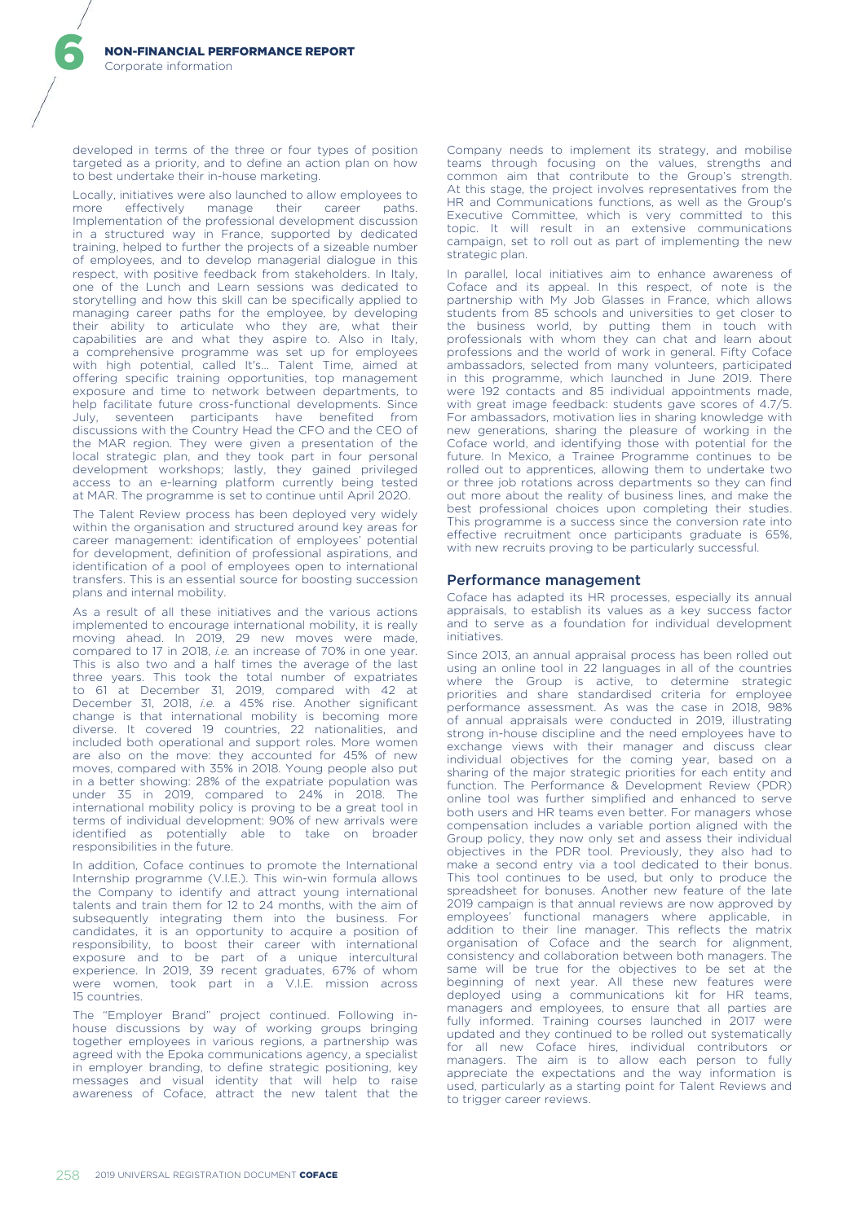developed in terms of the three or four types of position targeted as a priority, and to define an action plan on how to best undertake their in-house marketing.

Locally, initiatives were also launched to allow employees to<br>more effectively manage their career paths more effectively manage their career Implementation of the professional development discussion in a structured way in France, supported by dedicated training, helped to further the projects of a sizeable number of employees, and to develop managerial dialogue in this respect, with positive feedback from stakeholders. In Italy, one of the Lunch and Learn sessions was dedicated to storytelling and how this skill can be specifically applied to managing career paths for the employee, by developing their ability to articulate who they are, what their capabilities are and what they aspire to. Also in Italy, a comprehensive programme was set up for employees with high potential, called It's... Talent Time, aimed at offering specific training opportunities, top management exposure and time to network between departments, to help facilitate future cross-functional developments. Since seventeen participants have benefited from discussions with the Country Head the CFO and the CEO of the MAR region. They were given a presentation of the local strategic plan, and they took part in four personal development workshops; lastly, they gained privileged access to an e-learning platform currently being tested at MAR. The programme is set to continue until April 2020.

The Talent Review process has been deployed very widely within the organisation and structured around key areas for career management: identification of employees' potential for development, definition of professional aspirations, and identification of a pool of employees open to international transfers. This is an essential source for boosting succession plans and internal mobility.

As a result of all these initiatives and the various actions implemented to encourage international mobility, it is really moving ahead. In 2019, 29 new moves were made, compared to 17 in 2018, *i.e.* an increase of 70% in one year. This is also two and a half times the average of the last three years. This took the total number of expatriates to 61 at December 31, 2019, compared with 42 at December 31, 2018, *i.e.* a 45% rise. Another significant change is that international mobility is becoming more diverse. It covered 19 countries, 22 nationalities, and included both operational and support roles. More women are also on the move: they accounted for 45% of new moves, compared with 35% in 2018. Young people also put in a better showing: 28% of the expatriate population was under 35 in 2019, compared to 24% in 2018. The international mobility policy is proving to be a great tool in terms of individual development: 90% of new arrivals were identified as potentially able to take on broader responsibilities in the future.

In addition, Coface continues to promote the International Internship programme (V.I.E.). This win-win formula allows the Company to identify and attract young international talents and train them for 12 to 24 months, with the aim of subsequently integrating them into the business. For candidates, it is an opportunity to acquire a position of responsibility, to boost their career with international exposure and to be part of a unique intercultural experience. In 2019, 39 recent graduates, 67% of whom were women, took part in a V.I.E. mission across 15 countries.

The "Employer Brand" project continued. Following inhouse discussions by way of working groups bringing together employees in various regions, a partnership was agreed with the Epoka communications agency, a specialist in employer branding, to define strategic positioning, key messages and visual identity that will help to raise awareness of Coface, attract the new talent that the Company needs to implement its strategy, and mobilise teams through focusing on the values, strengths and common aim that contribute to the Group's strength. At this stage, the project involves representatives from the HR and Communications functions, as well as the Group's Executive Committee, which is very committed to this topic. It will result in an extensive communications campaign, set to roll out as part of implementing the new strategic plan.

In parallel, local initiatives aim to enhance awareness of Coface and its appeal. In this respect, of note is the partnership with My Job Glasses in France, which allows students from 85 schools and universities to get closer to the business world, by putting them in touch with professionals with whom they can chat and learn about professions and the world of work in general. Fifty Coface ambassadors, selected from many volunteers, participated in this programme, which launched in June 2019. There were 192 contacts and 85 individual appointments made, with great image feedback: students gave scores of 4.7/5. For ambassadors, motivation lies in sharing knowledge with new generations, sharing the pleasure of working in the Coface world, and identifying those with potential for the future. In Mexico, a Trainee Programme continues to be rolled out to apprentices, allowing them to undertake two or three job rotations across departments so they can find out more about the reality of business lines, and make the best professional choices upon completing their studies. This programme is a success since the conversion rate into effective recruitment once participants graduate is 65%, with new recruits proving to be particularly successful.

#### Performance management

Coface has adapted its HR processes, especially its annual appraisals, to establish its values as a key success factor and to serve as a foundation for individual development initiatives.

Since 2013, an annual appraisal process has been rolled out using an online tool in 22 languages in all of the countries where the Group is active, to determine strategic priorities and share standardised criteria for employee performance assessment. As was the case in 2018, 98% of annual appraisals were conducted in 2019, illustrating strong in-house discipline and the need employees have to exchange views with their manager and discuss clear individual objectives for the coming year, based on a sharing of the major strategic priorities for each entity and function. The Performance & Development Review (PDR) online tool was further simplified and enhanced to serve both users and HR teams even better. For managers whose compensation includes a variable portion aligned with the Group policy, they now only set and assess their individual objectives in the PDR tool. Previously, they also had to make a second entry via a tool dedicated to their bonus. This tool continues to be used, but only to produce the spreadsheet for bonuses. Another new feature of the late 2019 campaign is that annual reviews are now approved by employees' functional managers where applicable, in addition to their line manager. This reflects the matrix organisation of Coface and the search for alignment, consistency and collaboration between both managers. The same will be true for the objectives to be set at the beginning of next year. All these new features were deployed using a communications kit for HR teams, managers and employees, to ensure that all parties are fully informed. Training courses launched in 2017 were updated and they continued to be rolled out systematically for all new Coface hires, individual contributors or managers. The aim is to allow each person to fully appreciate the expectations and the way information is used, particularly as a starting point for Talent Reviews and to trigger career reviews.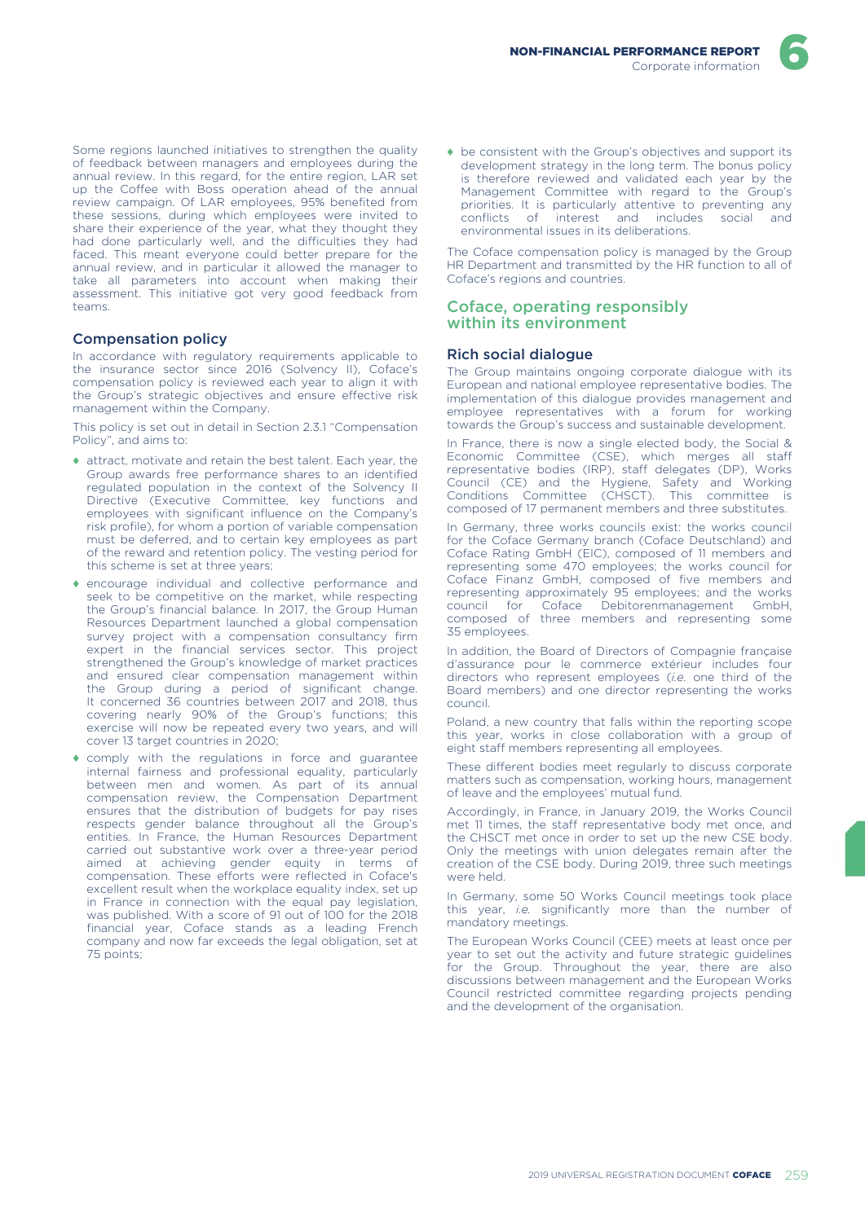Some regions launched initiatives to strengthen the quality of feedback between managers and employees during the annual review. In this regard, for the entire region, LAR set up the Coffee with Boss operation ahead of the annual review campaign. Of LAR employees, 95% benefited from these sessions, during which employees were invited to share their experience of the year, what they thought they had done particularly well, and the difficulties they had faced. This meant everyone could better prepare for the annual review, and in particular it allowed the manager to take all parameters into account when making their assessment. This initiative got very good feedback from teams.

### Compensation policy

In accordance with regulatory requirements applicable to the insurance sector since 2016 (Solvency II), Coface's compensation policy is reviewed each year to align it with the Group's strategic objectives and ensure effective risk management within the Company.

This policy is set out in detail in Section 2.3.1 "Compensation Policy", and aims to:

- ♦ attract, motivate and retain the best talent. Each year, the Group awards free performance shares to an identified regulated population in the context of the Solvency II Directive (Executive Committee, key functions and employees with significant influence on the Company's risk profile), for whom a portion of variable compensation must be deferred, and to certain key employees as part of the reward and retention policy. The vesting period for this scheme is set at three years;
- ♦ encourage individual and collective performance and seek to be competitive on the market, while respecting the Group's financial balance. In 2017, the Group Human Resources Department launched a global compensation survey project with a compensation consultancy firm expert in the financial services sector. This project strengthened the Group's knowledge of market practices and ensured clear compensation management within the Group during a period of significant change. It concerned 36 countries between 2017 and 2018, thus covering nearly 90% of the Group's functions; this exercise will now be repeated every two years, and will cover 13 target countries in 2020;
- ♦ comply with the regulations in force and guarantee internal fairness and professional equality, particularly between men and women. As part of its annual compensation review, the Compensation Department ensures that the distribution of budgets for pay rises respects gender balance throughout all the Group's entities. In France, the Human Resources Department carried out substantive work over a three-year period aimed at achieving gender equity in terms of compensation. These efforts were reflected in Coface's excellent result when the workplace equality index, set up in France in connection with the equal pay legislation, was published. With a score of 91 out of 100 for the 2018 financial year, Coface stands as a leading French company and now far exceeds the legal obligation, set at 75 points;

♦ be consistent with the Group's objectives and support its development strategy in the long term. The bonus policy is therefore reviewed and validated each year by the Management Committee with regard to the Group's priorities. It is particularly attentive to preventing any conflicts of interest and includes social and environmental issues in its deliberations.

The Coface compensation policy is managed by the Group HR Department and transmitted by the HR function to all of Coface's regions and countries.

#### Coface, operating responsibly within its environment

### Rich social dialogue

The Group maintains ongoing corporate dialogue with its European and national employee representative bodies. The implementation of this dialogue provides management and employee representatives with a forum for working towards the Group's success and sustainable development.

In France, there is now a single elected body, the Social & Economic Committee (CSE), which merges all staff representative bodies (IRP), staff delegates (DP), Works Council (CE) and the Hygiene, Safety and Working Conditions Committee (CHSCT). This committee is composed of 17 permanent members and three substitutes.

In Germany, three works councils exist: the works council for the Coface Germany branch (Coface Deutschland) and Coface Rating GmbH (EIC), composed of 11 members and representing some 470 employees; the works council for Coface Finanz GmbH, composed of five members and representing approximately 95 employees; and the works council for Coface Debitorenmanagement GmbH, composed of three members and representing some 35 employees.

In addition, the Board of Directors of Compagnie française d'assurance pour le commerce extérieur includes four directors who represent employees (*i.e.* one third of the Board members) and one director representing the works council.

Poland, a new country that falls within the reporting scope this year, works in close collaboration with a group of eight staff members representing all employees.

These different bodies meet regularly to discuss corporate matters such as compensation, working hours, management of leave and the employees' mutual fund.

Accordingly, in France, in January 2019, the Works Council met 11 times, the staff representative body met once, and the CHSCT met once in order to set up the new CSE body. Only the meetings with union delegates remain after the creation of the CSE body. During 2019, three such meetings were held.

In Germany, some 50 Works Council meetings took place this year, *i.e.* significantly more than the number of mandatory meetings.

The European Works Council (CEE) meets at least once per year to set out the activity and future strategic guidelines for the Group. Throughout the year, there are also discussions between management and the European Works Council restricted committee regarding projects pending and the development of the organisation.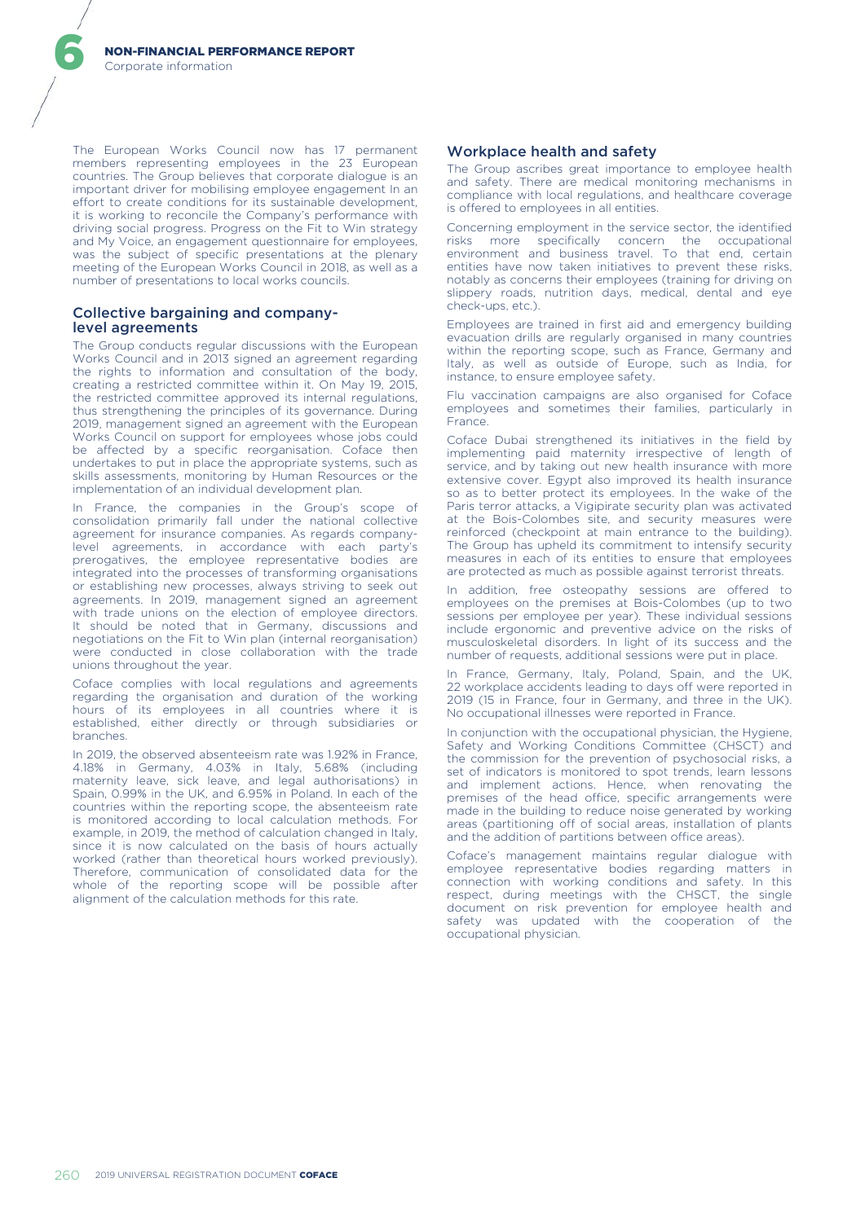The European Works Council now has 17 permanent members representing employees in the 23 European countries. The Group believes that corporate dialogue is an important driver for mobilising employee engagement In an effort to create conditions for its sustainable development, it is working to reconcile the Company's performance with driving social progress. Progress on the Fit to Win strategy and My Voice, an engagement questionnaire for employees, was the subject of specific presentations at the plenary meeting of the European Works Council in 2018, as well as a number of presentations to local works councils.

### Collective bargaining and companylevel agreements

The Group conducts regular discussions with the European Works Council and in 2013 signed an agreement regarding the rights to information and consultation of the body, creating a restricted committee within it. On May 19, 2015, the restricted committee approved its internal regulations, thus strengthening the principles of its governance. During 2019, management signed an agreement with the European Works Council on support for employees whose jobs could be affected by a specific reorganisation. Coface then undertakes to put in place the appropriate systems, such as skills assessments, monitoring by Human Resources or the implementation of an individual development plan.

In France, the companies in the Group's scope of consolidation primarily fall under the national collective agreement for insurance companies. As regards companylevel agreements, in accordance with each party's prerogatives, the employee representative bodies are integrated into the processes of transforming organisations or establishing new processes, always striving to seek out agreements. In 2019, management signed an agreement with trade unions on the election of employee directors. It should be noted that in Germany, discussions and negotiations on the Fit to Win plan (internal reorganisation) were conducted in close collaboration with the trade unions throughout the year.

Coface complies with local regulations and agreements regarding the organisation and duration of the working hours of its employees in all countries where it is established, either directly or through subsidiaries or branches.

In 2019, the observed absenteeism rate was 1.92% in France, 4.18% in Germany, 4.03% in Italy, 5.68% (including maternity leave, sick leave, and legal authorisations) in Spain, 0.99% in the UK, and 6.95% in Poland. In each of the countries within the reporting scope, the absenteeism rate is monitored according to local calculation methods. For example, in 2019, the method of calculation changed in Italy, since it is now calculated on the basis of hours actually worked (rather than theoretical hours worked previously). Therefore, communication of consolidated data for the whole of the reporting scope will be possible after alignment of the calculation methods for this rate.

### Workplace health and safety

The Group ascribes great importance to employee health and safety. There are medical monitoring mechanisms in compliance with local regulations, and healthcare coverage is offered to employees in all entities.

Concerning employment in the service sector, the identified risks more specifically concern the occupational environment and business travel. To that end, certain entities have now taken initiatives to prevent these risks, notably as concerns their employees (training for driving on slippery roads, nutrition days, medical, dental and eye check-ups, etc.).

Employees are trained in first aid and emergency building evacuation drills are regularly organised in many countries within the reporting scope, such as France, Germany and Italy, as well as outside of Europe, such as India, for instance, to ensure employee safety.

Flu vaccination campaigns are also organised for Coface employees and sometimes their families, particularly in France.

Coface Dubai strengthened its initiatives in the field by implementing paid maternity irrespective of length of service, and by taking out new health insurance with more extensive cover. Egypt also improved its health insurance so as to better protect its employees. In the wake of the Paris terror attacks, a Vigipirate security plan was activated at the Bois-Colombes site, and security measures were reinforced (checkpoint at main entrance to the building). The Group has upheld its commitment to intensify security measures in each of its entities to ensure that employees are protected as much as possible against terrorist threats.

In addition, free osteopathy sessions are offered to employees on the premises at Bois-Colombes (up to two sessions per employee per year). These individual sessions include ergonomic and preventive advice on the risks of musculoskeletal disorders. In light of its success and the number of requests, additional sessions were put in place.

In France, Germany, Italy, Poland, Spain, and the UK, 22 workplace accidents leading to days off were reported in 2019 (15 in France, four in Germany, and three in the UK). No occupational illnesses were reported in France.

In conjunction with the occupational physician, the Hygiene, Safety and Working Conditions Committee (CHSCT) and the commission for the prevention of psychosocial risks, a set of indicators is monitored to spot trends, learn lessons and implement actions. Hence, when renovating the premises of the head office, specific arrangements were made in the building to reduce noise generated by working areas (partitioning off of social areas, installation of plants and the addition of partitions between office areas).

Coface's management maintains regular dialogue with employee representative bodies regarding matters in connection with working conditions and safety. In this respect, during meetings with the CHSCT, the single document on risk prevention for employee health and safety was updated with the cooperation of the occupational physician.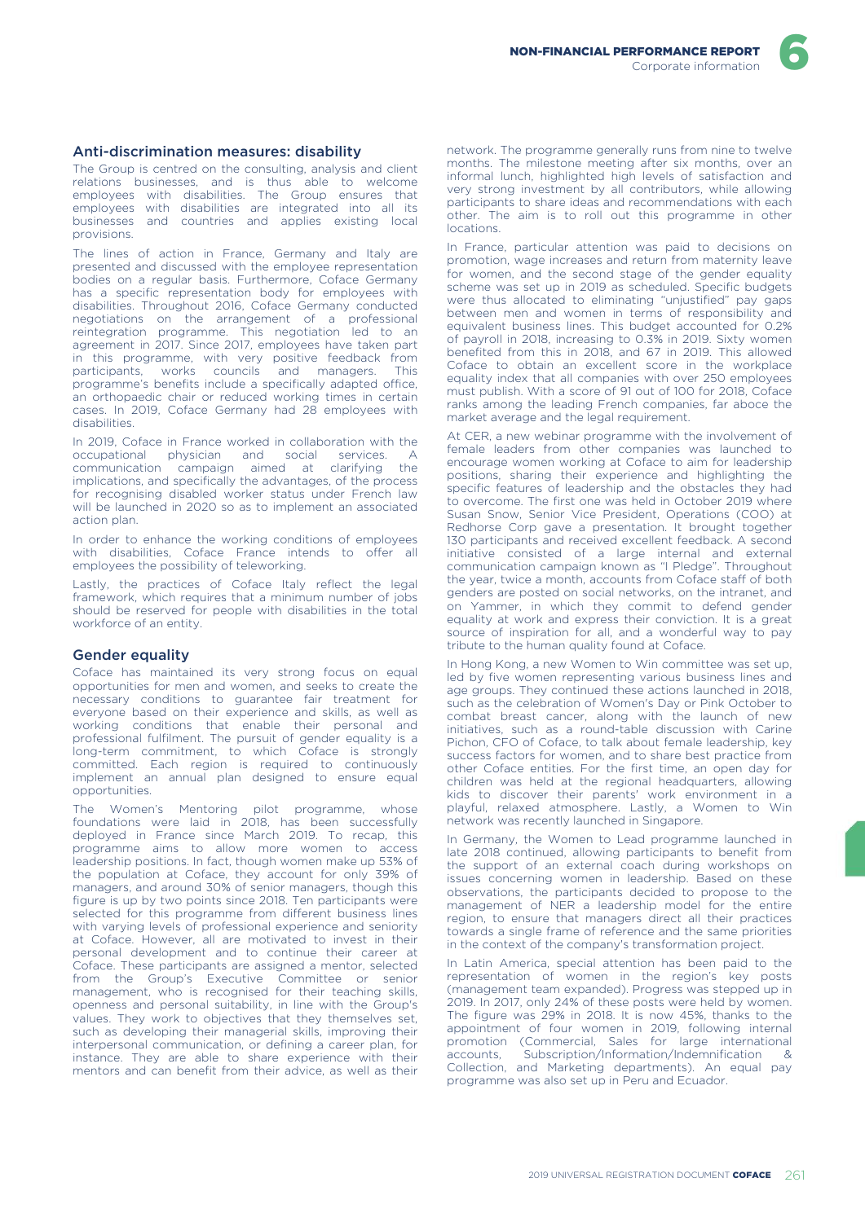#### Anti-discrimination measures: disability

The Group is centred on the consulting, analysis and client relations businesses, and is thus able to welcome employees with disabilities. The Group ensures that employees with disabilities are integrated into all its businesses and countries and applies existing local provisions.

The lines of action in France, Germany and Italy are presented and discussed with the employee representation bodies on a regular basis. Furthermore, Coface Germany has a specific representation body for employees with disabilities. Throughout 2016, Coface Germany conducted negotiations on the arrangement of a professional reintegration programme. This negotiation led to an agreement in 2017. Since 2017, employees have taken part in this programme, with very positive feedback from<br>participants, works councils and managers. This participants, works councils and managers. programme's benefits include a specifically adapted office, an orthopaedic chair or reduced working times in certain cases. In 2019, Coface Germany had 28 employees with disabilities.

In 2019, Coface in France worked in collaboration with the occupational physician and social services. A communication campaign aimed at clarifying implications, and specifically the advantages, of the process for recognising disabled worker status under French law will be launched in 2020 so as to implement an associated action plan.

In order to enhance the working conditions of employees with disabilities, Coface France intends to offer all employees the possibility of teleworking.

Lastly, the practices of Coface Italy reflect the legal framework, which requires that a minimum number of jobs should be reserved for people with disabilities in the total workforce of an entity.

#### Gender equality

Coface has maintained its very strong focus on equal opportunities for men and women, and seeks to create the necessary conditions to guarantee fair treatment for everyone based on their experience and skills, as well as working conditions that enable their personal and professional fulfilment. The pursuit of gender equality is a long-term commitment, to which Coface is strongly committed. Each region is required to continuously implement an annual plan designed to ensure equal opportunities.

The Women's Mentoring pilot programme, whose foundations were laid in 2018, has been successfully deployed in France since March 2019. To recap, this programme aims to allow more women to access leadership positions. In fact, though women make up 53% of the population at Coface, they account for only 39% of managers, and around 30% of senior managers, though this figure is up by two points since 2018. Ten participants were selected for this programme from different business lines with varying levels of professional experience and seniority at Coface. However, all are motivated to invest in their personal development and to continue their career at Coface. These participants are assigned a mentor, selected from the Group's Executive Committee or senior management, who is recognised for their teaching skills, openness and personal suitability, in line with the Group's values. They work to objectives that they themselves set, such as developing their managerial skills, improving their interpersonal communication, or defining a career plan, for instance. They are able to share experience with their mentors and can benefit from their advice, as well as their

network. The programme generally runs from nine to twelve months. The milestone meeting after six months, over an informal lunch, highlighted high levels of satisfaction and very strong investment by all contributors, while allowing participants to share ideas and recommendations with each other. The aim is to roll out this programme in other locations.

In France, particular attention was paid to decisions on promotion, wage increases and return from maternity leave for women, and the second stage of the gender equality scheme was set up in 2019 as scheduled. Specific budgets were thus allocated to eliminating "unjustified" pay gaps between men and women in terms of responsibility and equivalent business lines. This budget accounted for 0.2% of payroll in 2018, increasing to 0.3% in 2019. Sixty women benefited from this in 2018, and 67 in 2019. This allowed Coface to obtain an excellent score in the workplace equality index that all companies with over 250 employees must publish. With a score of 91 out of 100 for 2018, Coface ranks among the leading French companies, far aboce the market average and the legal requirement.

At CER, a new webinar programme with the involvement of female leaders from other companies was launched to encourage women working at Coface to aim for leadership positions, sharing their experience and highlighting the specific features of leadership and the obstacles they had to overcome. The first one was held in October 2019 where Susan Snow, Senior Vice President, Operations (COO) at Redhorse Corp gave a presentation. It brought together 130 participants and received excellent feedback. A second initiative consisted of a large internal and external communication campaign known as "I Pledge". Throughout the year, twice a month, accounts from Coface staff of both genders are posted on social networks, on the intranet, and on Yammer, in which they commit to defend gender equality at work and express their conviction. It is a great source of inspiration for all, and a wonderful way to pay tribute to the human quality found at Coface.

In Hong Kong, a new Women to Win committee was set up, led by five women representing various business lines and age groups. They continued these actions launched in 2018, such as the celebration of Women's Day or Pink October to combat breast cancer, along with the launch of new initiatives, such as a round-table discussion with Carine Pichon, CFO of Coface, to talk about female leadership, key success factors for women, and to share best practice from other Coface entities. For the first time, an open day for children was held at the regional headquarters, allowing kids to discover their parents' work environment in a playful, relaxed atmosphere. Lastly, a Women to Win network was recently launched in Singapore.

In Germany, the Women to Lead programme launched in late 2018 continued, allowing participants to benefit from the support of an external coach during workshops on issues concerning women in leadership. Based on these observations, the participants decided to propose to the management of NER a leadership model for the entire region, to ensure that managers direct all their practices towards a single frame of reference and the same priorities in the context of the company's transformation project.

In Latin America, special attention has been paid to the representation of women in the region's key posts (management team expanded). Progress was stepped up in 2019. In 2017, only 24% of these posts were held by women. The figure was 29% in 2018. It is now 45%, thanks to the appointment of four women in 2019, following internal promotion (Commercial, Sales for large international accounts, Subscription/Information/Indemnification & Collection, and Marketing departments). An equal pay programme was also set up in Peru and Ecuador.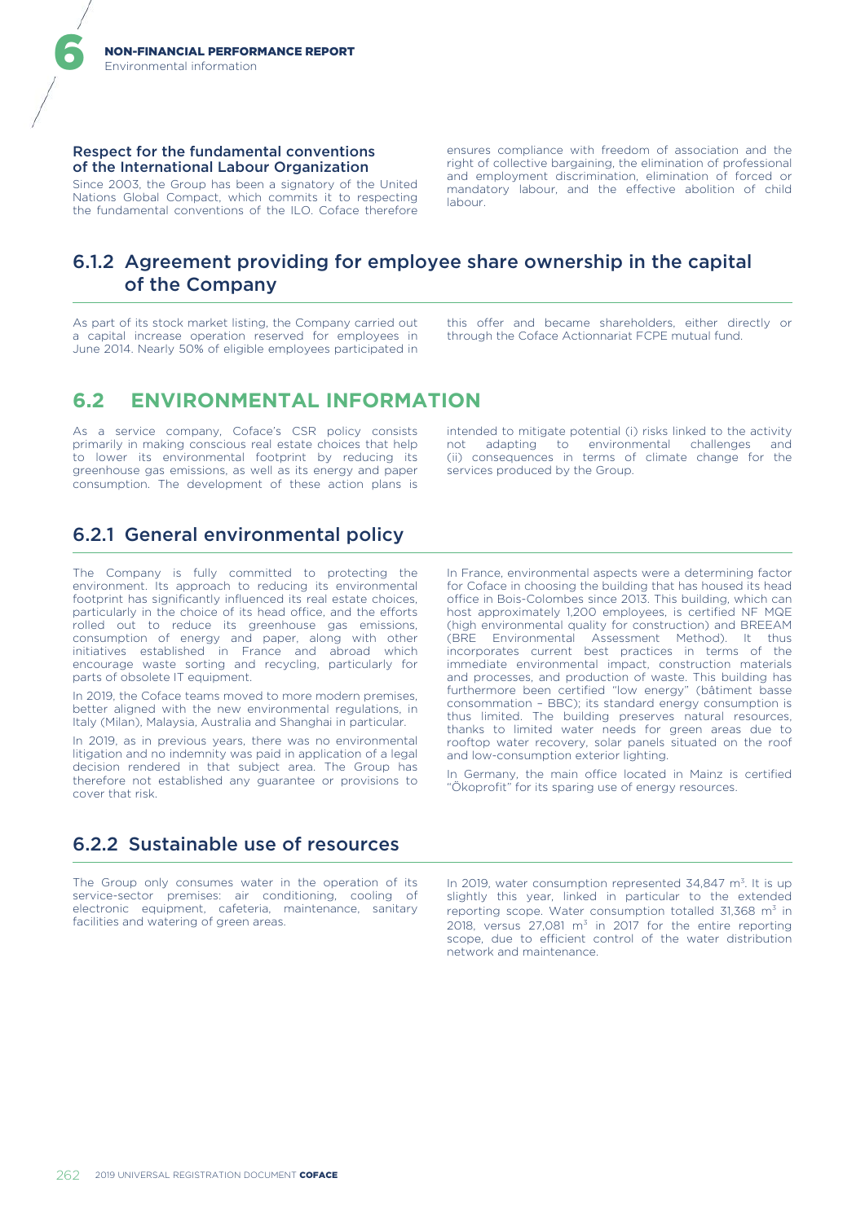#### Respect for the fundamental conventions of the International Labour Organization

Since 2003, the Group has been a signatory of the United Nations Global Compact, which commits it to respecting the fundamental conventions of the ILO. Coface therefore ensures compliance with freedom of association and the right of collective bargaining, the elimination of professional and employment discrimination, elimination of forced or mandatory labour, and the effective abolition of child labour.

# 6.1.2 Agreement providing for employee share ownership in the capital of the Company

As part of its stock market listing, the Company carried out a capital increase operation reserved for employees in June 2014. Nearly 50% of eligible employees participated in this offer and became shareholders, either directly or through the Coface Actionnariat FCPE mutual fund.

# **6.2 ENVIRONMENTAL INFORMATION**

As a service company, Coface's CSR policy consists primarily in making conscious real estate choices that help to lower its environmental footprint by reducing its greenhouse gas emissions, as well as its energy and paper consumption. The development of these action plans is

intended to mitigate potential (i) risks linked to the activity not adapting to environmental challenges and (ii) consequences in terms of climate change for the services produced by the Group.

# 6.2.1 General environmental policy

The Company is fully committed to protecting the environment. Its approach to reducing its environmental footprint has significantly influenced its real estate choices, particularly in the choice of its head office, and the efforts rolled out to reduce its greenhouse gas emissions, consumption of energy and paper, along with other initiatives established in France and abroad which encourage waste sorting and recycling, particularly for parts of obsolete IT equipment.

In 2019, the Coface teams moved to more modern premises, better aligned with the new environmental regulations, in Italy (Milan), Malaysia, Australia and Shanghai in particular.

In 2019, as in previous years, there was no environmental litigation and no indemnity was paid in application of a legal decision rendered in that subject area. The Group has therefore not established any guarantee or provisions to cover that risk.

In France, environmental aspects were a determining factor for Coface in choosing the building that has housed its head office in Bois-Colombes since 2013. This building, which can host approximately 1,200 employees, is certified NF MQE (high environmental quality for construction) and BREEAM (BRE Environmental Assessment Method). It thus incorporates current best practices in terms of the immediate environmental impact, construction materials and processes, and production of waste. This building has furthermore been certified "low energy" (bâtiment basse consommation – BBC); its standard energy consumption is thus limited. The building preserves natural resources, thanks to limited water needs for green areas due to rooftop water recovery, solar panels situated on the roof and low-consumption exterior lighting.

In Germany, the main office located in Mainz is certified "Ökoprofit" for its sparing use of energy resources.

# 6.2.2 Sustainable use of resources

The Group only consumes water in the operation of its service-sector premises: air conditioning, cooling of electronic equipment, cafeteria, maintenance, sanitary facilities and watering of green areas.

In 2019, water consumption represented  $34,847$  m<sup>3</sup>. It is up slightly this year, linked in particular to the extended reporting scope. Water consumption totalled  $31,368$  m<sup>3</sup> in 2018, versus  $27,081$  m<sup>3</sup> in 2017 for the entire reporting scope, due to efficient control of the water distribution network and maintenance.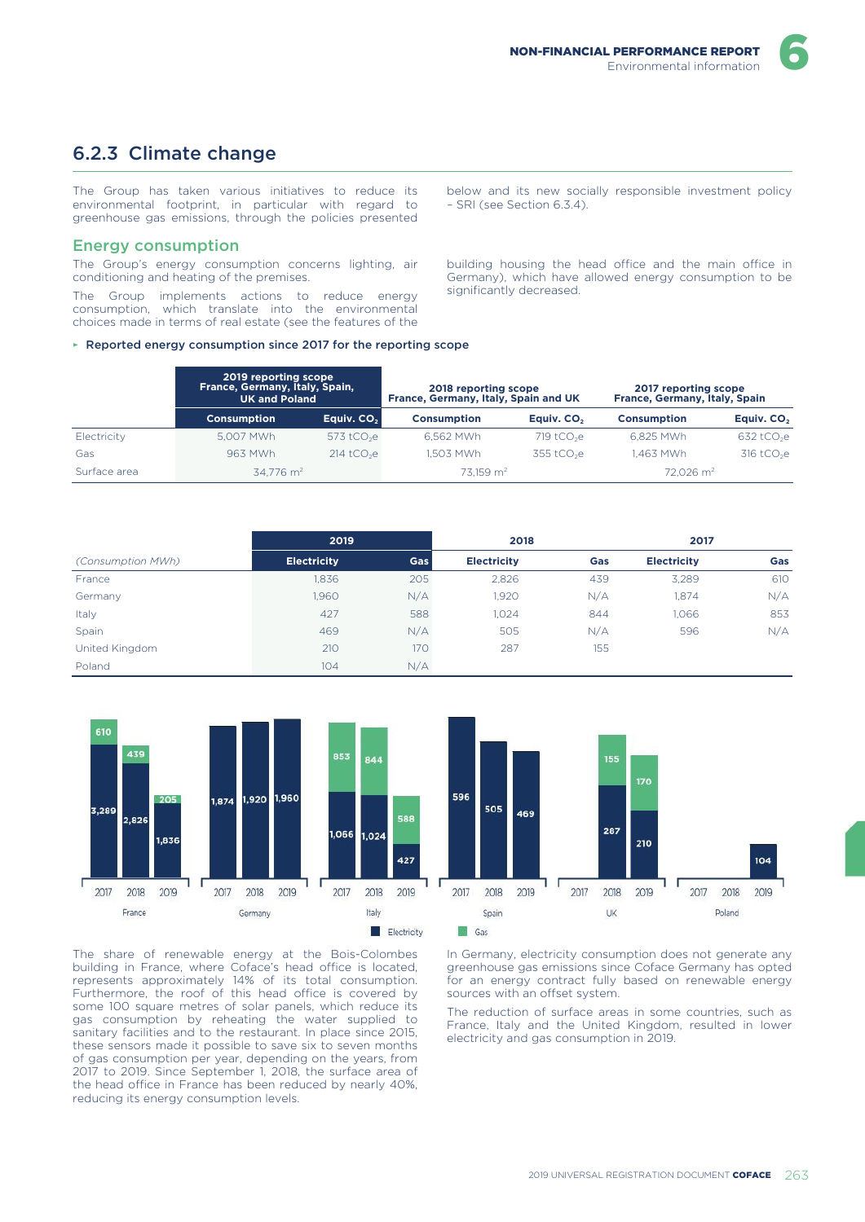

# 6.2.3 Climate change

The Group has taken various initiatives to reduce its environmental footprint, in particular with regard to greenhouse gas emissions, through the policies presented

### Energy consumption

The Group's energy consumption concerns lighting, air conditioning and heating of the premises.

The Group implements actions to reduce energy consumption, which translate into the environmental choices made in terms of real estate (see the features of the below and its new socially responsible investment policy – SRI (see Section 6.3.4).

building housing the head office and the main office in Germany), which have allowed energy consumption to be significantly decreased.

#### ► Reported energy consumption since 2017 for the reporting scope

|              | 2019 reporting scope<br>France, Germany, Italy, Spain,<br><b>UK and Poland</b> |                          | 2018 reporting scope<br>France, Germany, Italy, Spain and UK |                          | 2017 reporting scope<br>France, Germany, Italy, Spain |                          |
|--------------|--------------------------------------------------------------------------------|--------------------------|--------------------------------------------------------------|--------------------------|-------------------------------------------------------|--------------------------|
|              | <b>Consumption</b>                                                             | Equiv. CO <sub>2</sub>   | <b>Consumption</b>                                           | Eauiv. CO <sub>2</sub>   | <b>Consumption</b>                                    | Equiv. CO <sub>2</sub>   |
| Electricity  | 5.007 MWh                                                                      | 573 tCO <sub>2</sub> e   | 6.562 MWh                                                    | $719$ tCO <sub>2</sub> e | 6.825 MWh                                             | $632$ tCO <sub>2</sub> e |
| Gas          | 963 MWh                                                                        | $214$ tCO <sub>2</sub> e | 1.503 MWh                                                    | $355$ tCO <sub>2</sub> e | 1.463 MWh                                             | $316$ tCO <sub>2</sub> e |
| Surface area | $34.776$ m <sup>2</sup>                                                        |                          | $73.159$ m <sup>2</sup>                                      |                          | $72.026$ m <sup>2</sup>                               |                          |

|                   | 2019               |            | 2018               |     | 2017               |     |
|-------------------|--------------------|------------|--------------------|-----|--------------------|-----|
| (Consumption MWh) | <b>Electricity</b> | <b>Gas</b> | <b>Electricity</b> | Gas | <b>Electricity</b> | Gas |
| France            | 1,836              | 205        | 2,826              | 439 | 3.289              | 610 |
| Germany           | 1,960              | N/A        | 1,920              | N/A | 1,874              | N/A |
| Italy             | 427                | 588        | 1.024              | 844 | 1,066              | 853 |
| Spain             | 469                | N/A        | 505                | N/A | 596                | N/A |
| United Kingdom    | 210                | 170        | 287                | 155 |                    |     |
| Poland            | 104                | N/A        |                    |     |                    |     |



The share of renewable energy at the Bois-Colombes building in France, where Coface's head office is located, represents approximately 14% of its total consumption. Furthermore, the roof of this head office is covered by some 100 square metres of solar panels, which reduce its gas consumption by reheating the water supplied to sanitary facilities and to the restaurant. In place since 2015, these sensors made it possible to save six to seven months of gas consumption per year, depending on the years, from 2017 to 2019. Since September 1, 2018, the surface area of the head office in France has been reduced by nearly 40%, reducing its energy consumption levels.

In Germany, electricity consumption does not generate any greenhouse gas emissions since Coface Germany has opted for an energy contract fully based on renewable energy sources with an offset system.

The reduction of surface areas in some countries, such as France, Italy and the United Kingdom, resulted in lower electricity and gas consumption in 2019.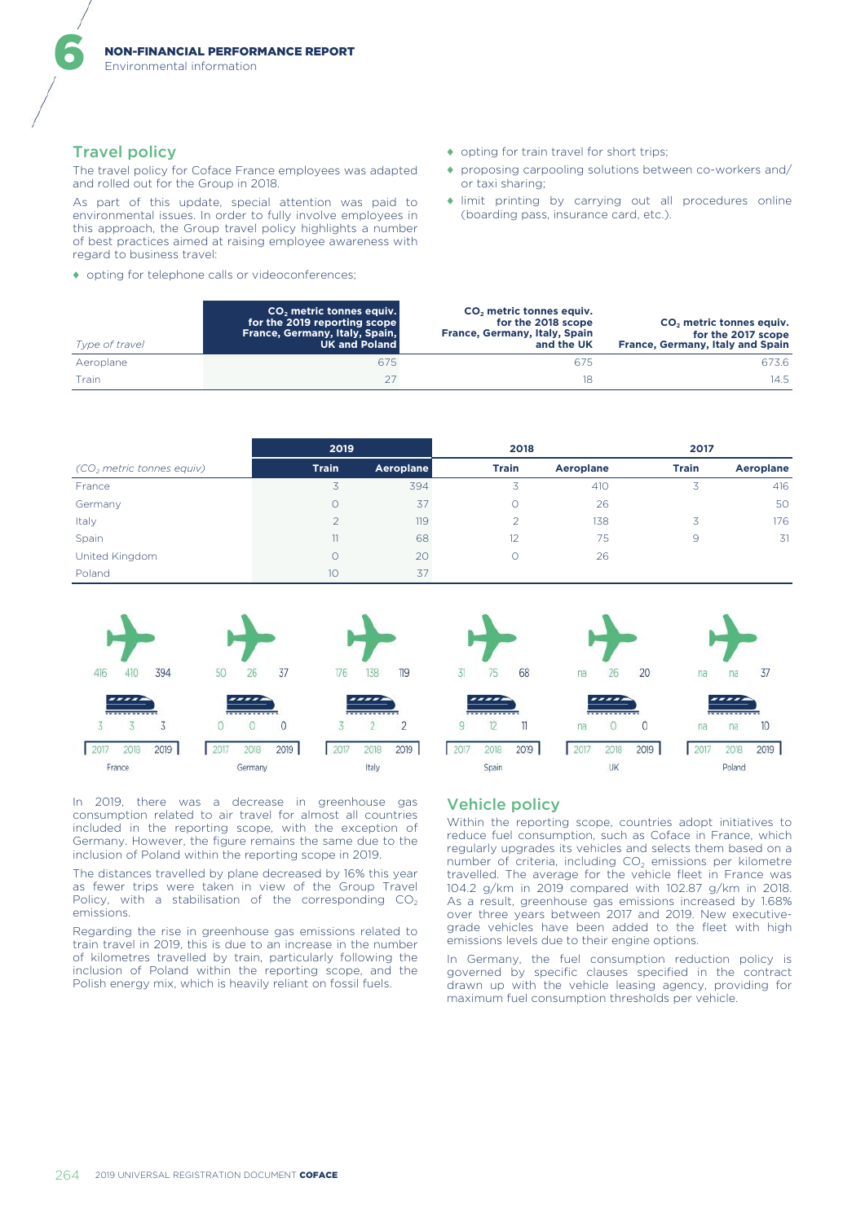Environmental information

### Travel policy

6

The travel policy for Coface France employees was adapted and rolled out for the Group in 2018.

As part of this update, special attention was paid to environmental issues. In order to fully involve employees in this approach, the Group travel policy highlights a number of best practices aimed at raising employee awareness with regard to business travel:

♦ opting for telephone calls or videoconferences;

- ♦ opting for train travel for short trips;
- ♦ proposing carpooling solutions between co-workers and/ or taxi sharing;
- ♦ limit printing by carrying out all procedures online (boarding pass, insurance card, etc.).

| Type of travel | CO <sub>2</sub> metric tonnes equiv.<br>for the 2019 reporting scope<br>France, Germany, Italy, Spain,<br><b>UK and Poland</b> | CO <sub>2</sub> metric tonnes equiv.<br>for the 2018 scope<br>France, Germany, Italy, Spain<br>and the UK | CO <sub>2</sub> metric tonnes equiv.<br>for the 2017 scope<br>France, Germany, Italy and Spain |
|----------------|--------------------------------------------------------------------------------------------------------------------------------|-----------------------------------------------------------------------------------------------------------|------------------------------------------------------------------------------------------------|
| Aeroplane      | 675                                                                                                                            | 675                                                                                                       | 673.6                                                                                          |
| Train          |                                                                                                                                | 18                                                                                                        | 14.5                                                                                           |

|                                       | 2019         |           | 2018         |           | 2017         |           |
|---------------------------------------|--------------|-----------|--------------|-----------|--------------|-----------|
| (CO <sub>2</sub> metric tonnes equiv) | <b>Train</b> | Aeroplane | <b>Train</b> | Aeroplane | <b>Train</b> | Aeroplane |
| France                                |              | 394       | 3            | 410       | 3            | 416       |
| Germany                               |              | 37        |              | 26        |              | 50        |
| Italy                                 |              | 119       |              | 138       |              | 176       |
| Spain                                 | 11           | 68        | 12           | 75        | 9            | 31        |
| United Kingdom                        |              | 20        |              | 26        |              |           |
| Poland                                | 10           | 37        |              |           |              |           |



In 2019, there was a decrease in greenhouse gas consumption related to air travel for almost all countries included in the reporting scope, with the exception of Germany. However, the figure remains the same due to the inclusion of Poland within the reporting scope in 2019.

The distances travelled by plane decreased by 16% this year as fewer trips were taken in view of the Group Travel Policy, with a stabilisation of the corresponding  $CO<sub>2</sub>$ emissions.

Regarding the rise in greenhouse gas emissions related to train travel in 2019, this is due to an increase in the number of kilometres travelled by train, particularly following the inclusion of Poland within the reporting scope, and the Polish energy mix, which is heavily reliant on fossil fuels.

# Vehicle policy

75

 $\overline{\phantom{a}}$ 

 $12$ 

2018

Spain

68

 $\overline{\mathbf{u}}$ 

2019

Within the reporting scope, countries adopt initiatives to reduce fuel consumption, such as Coface in France, which regularly upgrades its vehicles and selects them based on a number of criteria, including  $CO<sub>2</sub>$  emissions per kilometre travelled. The average for the vehicle fleet in France was 104.2 g/km in 2019 compared with 102.87 g/km in 2018. As a result, greenhouse gas emissions increased by 1.68% over three years between 2017 and 2019. New executivegrade vehicles have been added to the fleet with high emissions levels due to their engine options.

 $20$ 

 $\overline{0}$ 

2019

na

na

 $2017$ 

 $na$ 

 $na$ 

2018

Poland

....

26

....

 $\circ$ 

2018

UK

na

2017

37

10

2019

In Germany, the fuel consumption reduction policy is governed by specific clauses specified in the contract drawn up with the vehicle leasing agency, providing for maximum fuel consumption thresholds per vehicle.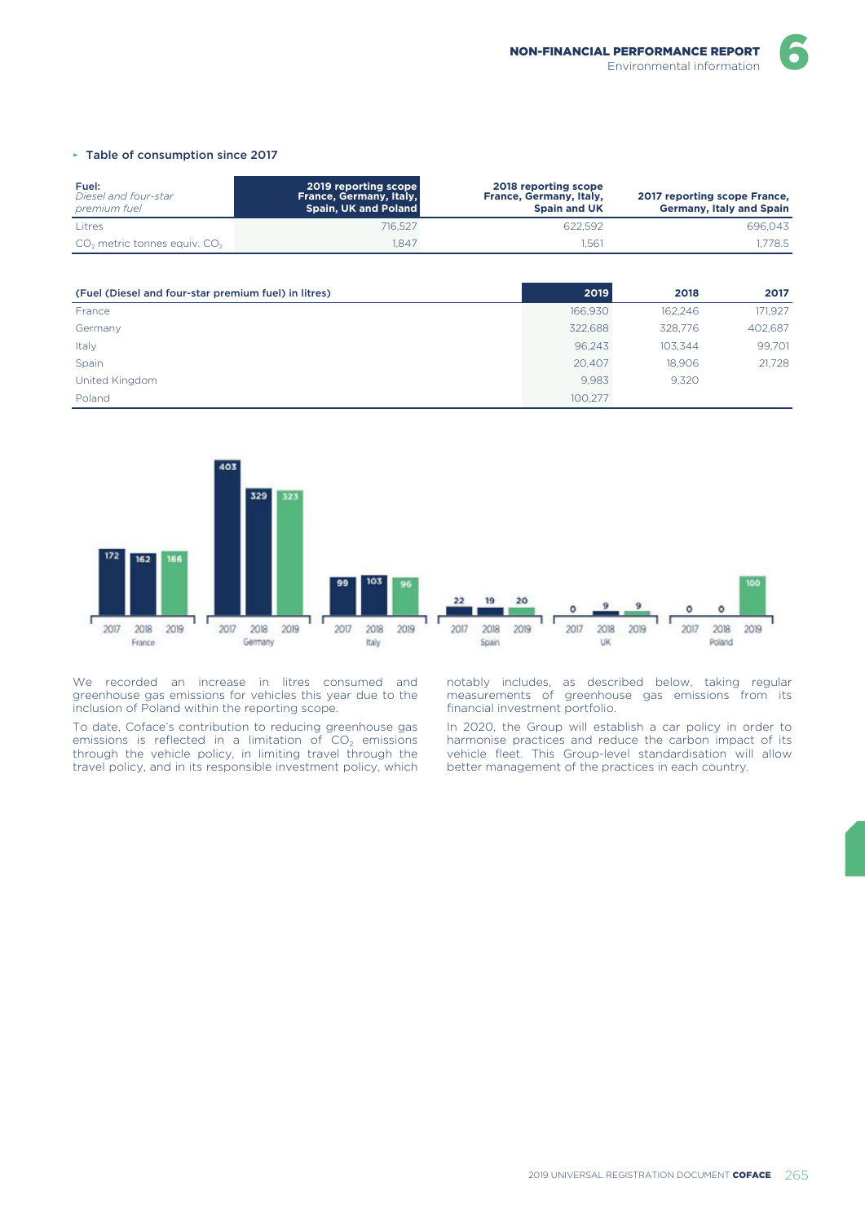#### ► Table of consumption since 2017

| Fuel:<br>Diesel and four-star<br>premium fuel | 2019 reporting scope<br>France, Germany, Italy,<br>Spain, UK and Poland | 2018 reporting scope<br>France, Germany, Italy,<br><b>Spain and UK</b> | 2017 reporting scope France,<br><b>Germany, Italy and Spain</b> |
|-----------------------------------------------|-------------------------------------------------------------------------|------------------------------------------------------------------------|-----------------------------------------------------------------|
| Litres                                        | 716.527                                                                 | 622.592                                                                | 696,043                                                         |
| $CO2$ metric tonnes equiv. $CO2$              | .847                                                                    | 1.561                                                                  | .778.5                                                          |

| (Fuel (Diesel and four-star premium fuel) in litres) | 2019    | 2018    | 2017    |
|------------------------------------------------------|---------|---------|---------|
| France                                               | 166,930 | 162.246 | 171,927 |
| Germany                                              | 322,688 | 328,776 | 402,687 |
| Italy                                                | 96.243  | 103.344 | 99,701  |
| Spain                                                | 20,407  | 18.906  | 21,728  |
| United Kingdom                                       | 9.983   | 9,320   |         |
| Poland                                               | 100.277 |         |         |



We recorded an increase in litres consumed and greenhouse gas emissions for vehicles this year due to the inclusion of Poland within the reporting scope.

To date, Coface's contribution to reducing greenhouse gas emissions is reflected in a limitation of  $CO<sub>2</sub>$  emissions through the vehicle policy, in limiting travel through the travel policy, and in its responsible investment policy, which

notably includes, as described below, taking regular measurements of greenhouse gas emissions from its financial investment portfolio.

In 2020, the Group will establish a car policy in order to harmonise practices and reduce the carbon impact of its vehicle fleet. This Group-level standardisation will allow better management of the practices in each country.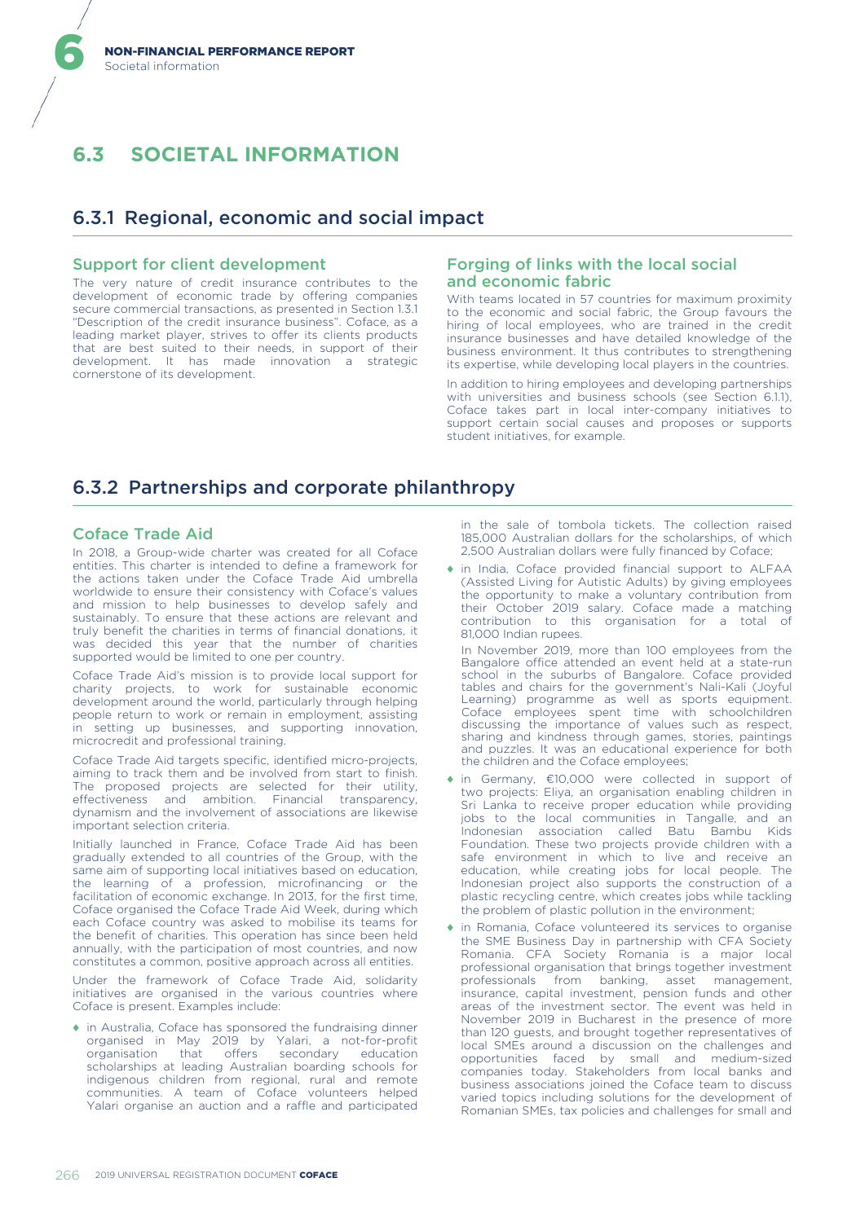# **6.3 SOCIETAL INFORMATION**

# 6.3.1 Regional, economic and social impact

### Support for client development

The very nature of credit insurance contributes to the development of economic trade by offering companies secure commercial transactions, as presented in Section 1.3.1 "Description of the credit insurance business". Coface, as a leading market player, strives to offer its clients products that are best suited to their needs, in support of their development. It has made innovation a strategic cornerstone of its development.

# Forging of links with the local social and economic fabric

With teams located in 57 countries for maximum proximity to the economic and social fabric, the Group favours the hiring of local employees, who are trained in the credit insurance businesses and have detailed knowledge of the business environment. It thus contributes to strengthening its expertise, while developing local players in the countries.

In addition to hiring employees and developing partnerships with universities and business schools (see Section 6.1.1), Coface takes part in local inter-company initiatives to support certain social causes and proposes or supports student initiatives, for example.

# 6.3.2 Partnerships and corporate philanthropy

### Coface Trade Aid

In 2018, a Group-wide charter was created for all Coface entities. This charter is intended to define a framework for the actions taken under the Coface Trade Aid umbrella worldwide to ensure their consistency with Coface's values and mission to help businesses to develop safely and sustainably. To ensure that these actions are relevant and truly benefit the charities in terms of financial donations, it was decided this year that the number of charities supported would be limited to one per country.

Coface Trade Aid's mission is to provide local support for charity projects, to work for sustainable economic development around the world, particularly through helping people return to work or remain in employment, assisting in setting up businesses, and supporting innovation, microcredit and professional training.

Coface Trade Aid targets specific, identified micro-projects, aiming to track them and be involved from start to finish. The proposed projects are selected for their utility, effectiveness and ambition. Financial transparency, dynamism and the involvement of associations are likewise important selection criteria.

Initially launched in France, Coface Trade Aid has been gradually extended to all countries of the Group, with the same aim of supporting local initiatives based on education, the learning of a profession, microfinancing or the facilitation of economic exchange. In 2013, for the first time, Coface organised the Coface Trade Aid Week, during which each Coface country was asked to mobilise its teams for the benefit of charities. This operation has since been held annually, with the participation of most countries, and now constitutes a common, positive approach across all entities.

Under the framework of Coface Trade Aid, solidarity initiatives are organised in the various countries where Coface is present. Examples include:

♦ in Australia, Coface has sponsored the fundraising dinner organised in May 2019 by Yalari, a not-for-profit organisation that scholarships at leading Australian boarding schools for indigenous children from regional, rural and remote communities. A team of Coface volunteers helped Yalari organise an auction and a raffle and participated in the sale of tombola tickets. The collection raised 185,000 Australian dollars for the scholarships, of which 2,500 Australian dollars were fully financed by Coface;

♦ in India, Coface provided financial support to ALFAA (Assisted Living for Autistic Adults) by giving employees the opportunity to make a voluntary contribution from their October 2019 salary. Coface made a matching contribution to this organisation for a total of 81,000 Indian rupees.

In November 2019, more than 100 employees from the Bangalore office attended an event held at a state-run school in the suburbs of Bangalore. Coface provided tables and chairs for the government's Nali-Kali (Joyful Learning) programme as well as sports equipment. Coface employees spent time with schoolchildren discussing the importance of values such as respect, sharing and kindness through games, stories, paintings and puzzles. It was an educational experience for both the children and the Coface employees;

- ♦ in Germany, €10,000 were collected in support of two projects: Eliya, an organisation enabling children in Sri Lanka to receive proper education while providing jobs to the local communities in Tangalle, and an Indonesian association called Batu Bambu Kids Foundation. These two projects provide children with a safe environment in which to live and receive an education, while creating jobs for local people. The Indonesian project also supports the construction of a plastic recycling centre, which creates jobs while tackling the problem of plastic pollution in the environment;
- ♦ in Romania, Coface volunteered its services to organise the SME Business Day in partnership with CFA Society Romania. CFA Society Romania is a major local professional organisation that brings together investment professionals from banking, asset management, insurance, capital investment, pension funds and other areas of the investment sector. The event was held in November 2019 in Bucharest in the presence of more than 120 guests, and brought together representatives of local SMEs around a discussion on the challenges and opportunities faced by small and medium-sized companies today. Stakeholders from local banks and business associations joined the Coface team to discuss varied topics including solutions for the development of Romanian SMEs, tax policies and challenges for small and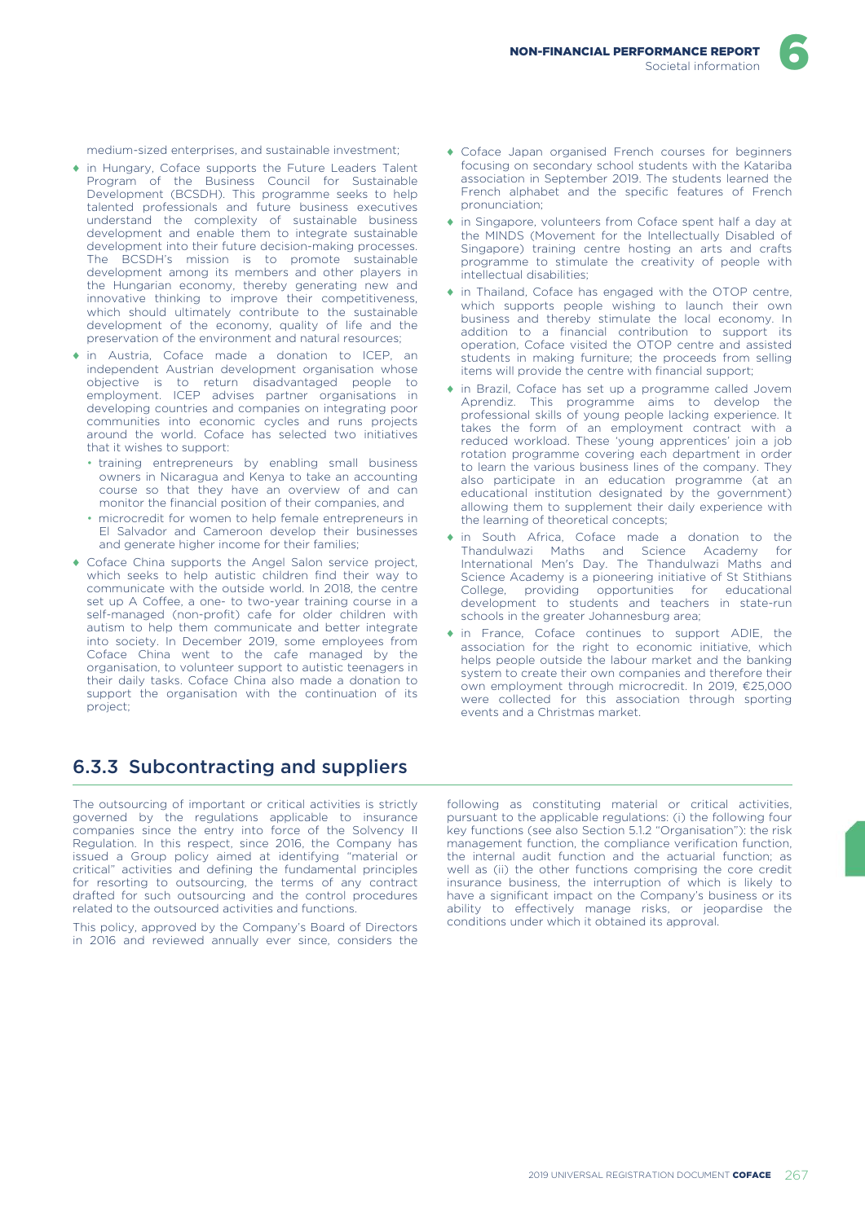medium-sized enterprises, and sustainable investment;

- ♦ in Hungary, Coface supports the Future Leaders Talent Program of the Business Council for Sustainable Development (BCSDH). This programme seeks to help talented professionals and future business executives understand the complexity of sustainable business development and enable them to integrate sustainable development into their future decision-making processes. The BCSDH's mission is to promote sustainable development among its members and other players in the Hungarian economy, thereby generating new and innovative thinking to improve their competitiveness, which should ultimately contribute to the sustainable development of the economy, quality of life and the preservation of the environment and natural resources;
- ♦ in Austria, Coface made a donation to ICEP, an independent Austrian development organisation whose objective is to return disadvantaged people to employment. ICEP advises partner organisations in developing countries and companies on integrating poor communities into economic cycles and runs projects around the world. Coface has selected two initiatives that it wishes to support:
	- training entrepreneurs by enabling small business owners in Nicaragua and Kenya to take an accounting course so that they have an overview of and can monitor the financial position of their companies, and
	- microcredit for women to help female entrepreneurs in El Salvador and Cameroon develop their businesses and generate higher income for their families;
- ♦ Coface China supports the Angel Salon service project, which seeks to help autistic children find their way to communicate with the outside world. In 2018, the centre set up A Coffee, a one- to two-year training course in a self-managed (non-profit) cafe for older children with autism to help them communicate and better integrate into society. In December 2019, some employees from Coface China went to the cafe managed by the organisation, to volunteer support to autistic teenagers in their daily tasks. Coface China also made a donation to support the organisation with the continuation of its project;

# 6.3.3 Subcontracting and suppliers

The outsourcing of important or critical activities is strictly governed by the regulations applicable to insurance companies since the entry into force of the Solvency II Regulation. In this respect, since 2016, the Company has issued a Group policy aimed at identifying "material or critical" activities and defining the fundamental principles for resorting to outsourcing, the terms of any contract drafted for such outsourcing and the control procedures related to the outsourced activities and functions.

This policy, approved by the Company's Board of Directors in 2016 and reviewed annually ever since, considers the following as constituting material or critical activities, pursuant to the applicable regulations: (i) the following four key functions (see also Section 5.1.2 "Organisation"): the risk management function, the compliance verification function, the internal audit function and the actuarial function; as well as (ii) the other functions comprising the core credit insurance business, the interruption of which is likely to have a significant impact on the Company's business or its ability to effectively manage risks, or jeopardise the conditions under which it obtained its approval.

- ♦ Coface Japan organised French courses for beginners focusing on secondary school students with the Katariba association in September 2019. The students learned the French alphabet and the specific features of French pronunciation;
- ♦ in Singapore, volunteers from Coface spent half a day at the MINDS (Movement for the Intellectually Disabled of Singapore) training centre hosting an arts and crafts programme to stimulate the creativity of people with intellectual disabilities;
- ♦ in Thailand, Coface has engaged with the OTOP centre, which supports people wishing to launch their own business and thereby stimulate the local economy. In addition to a financial contribution to support its operation, Coface visited the OTOP centre and assisted students in making furniture; the proceeds from selling items will provide the centre with financial support;
- ♦ in Brazil, Coface has set up a programme called Jovem Aprendiz. This programme aims to develop the professional skills of young people lacking experience. It takes the form of an employment contract with a reduced workload. These 'young apprentices' join a job rotation programme covering each department in order to learn the various business lines of the company. They also participate in an education programme (at an educational institution designated by the government) allowing them to supplement their daily experience with the learning of theoretical concepts;
- ♦ in South Africa, Coface made a donation to the Thandulwazi Maths and Science Academy for International Men's Day. The Thandulwazi Maths and Science Academy is a pioneering initiative of St Stithians College, providing opportunities for educational development to students and teachers in state-run schools in the greater Johannesburg area;
- ♦ in France, Coface continues to support ADIE, the association for the right to economic initiative, which helps people outside the labour market and the banking system to create their own companies and therefore their own employment through microcredit. In 2019, €25,000 were collected for this association through sporting events and a Christmas market.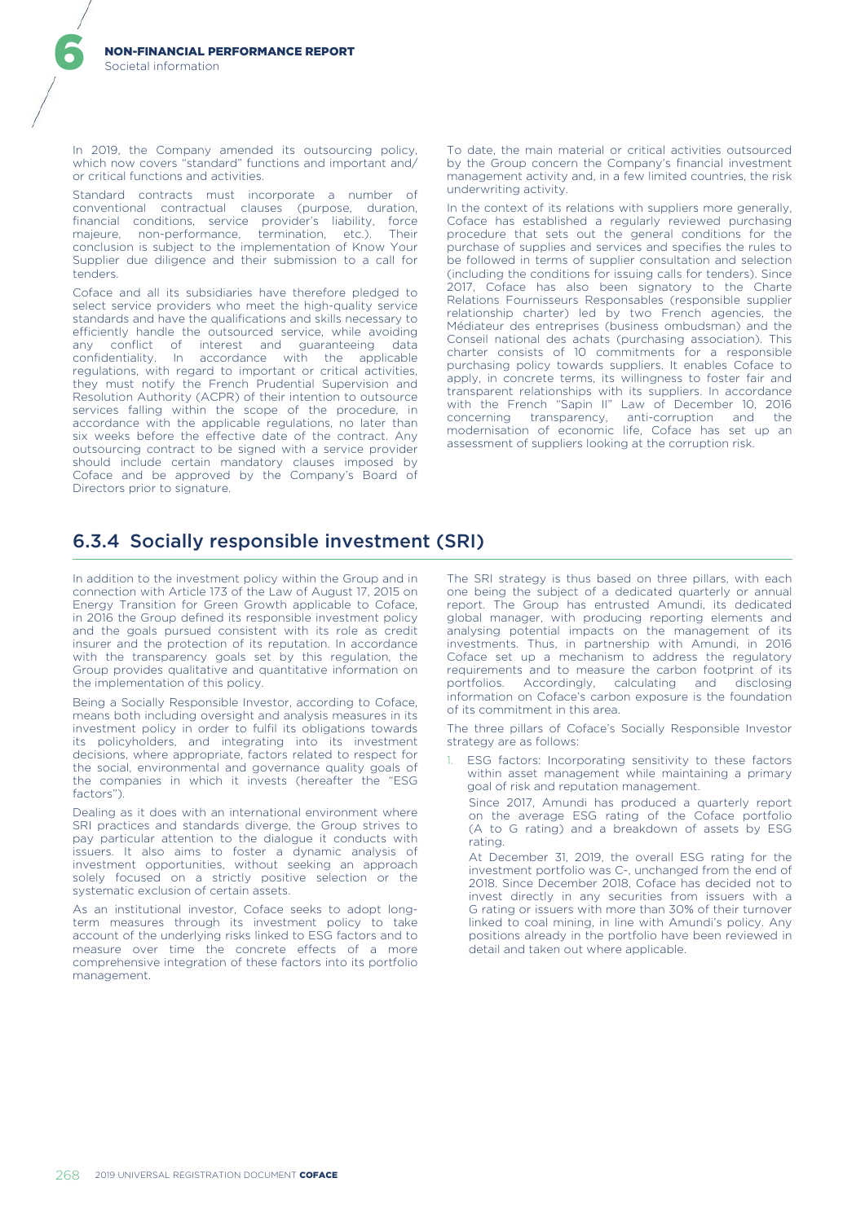In 2019, the Company amended its outsourcing policy, which now covers "standard" functions and important and/ or critical functions and activities.

Standard contracts must incorporate a number of conventional contractual clauses (purpose, duration, financial conditions, service provider's liability, force majeure, non-performance, termination, etc.). Their conclusion is subject to the implementation of Know Your Supplier due diligence and their submission to a call for tenders.

Coface and all its subsidiaries have therefore pledged to select service providers who meet the high-quality service standards and have the qualifications and skills necessary to efficiently handle the outsourced service, while avoiding any conflict of interest and guaranteeing data confidentiality. In accordance with the applicable regulations, with regard to important or critical activities, they must notify the French Prudential Supervision and Resolution Authority (ACPR) of their intention to outsource services falling within the scope of the procedure, in accordance with the applicable regulations, no later than six weeks before the effective date of the contract. Any outsourcing contract to be signed with a service provider should include certain mandatory clauses imposed by Coface and be approved by the Company's Board of Directors prior to signature.

To date, the main material or critical activities outsourced by the Group concern the Company's financial investment management activity and, in a few limited countries, the risk underwriting activity.

In the context of its relations with suppliers more generally, Coface has established a regularly reviewed purchasing procedure that sets out the general conditions for the purchase of supplies and services and specifies the rules to be followed in terms of supplier consultation and selection (including the conditions for issuing calls for tenders). Since 2017, Coface has also been signatory to the Charte Relations Fournisseurs Responsables (responsible supplier relationship charter) led by two French agencies, the Médiateur des entreprises (business ombudsman) and the Conseil national des achats (purchasing association). This charter consists of 10 commitments for a responsible purchasing policy towards suppliers. It enables Coface to apply, in concrete terms, its willingness to foster fair and transparent relationships with its suppliers. In accordance with the French "Sapin II" Law of December 10, 2016 concerning transparency, anti-corruption and the modernisation of economic life, Coface has set up an assessment of suppliers looking at the corruption risk.

# 6.3.4 Socially responsible investment (SRI)

In addition to the investment policy within the Group and in connection with Article 173 of the Law of August 17, 2015 on Energy Transition for Green Growth applicable to Coface, in 2016 the Group defined its responsible investment policy and the goals pursued consistent with its role as credit insurer and the protection of its reputation. In accordance with the transparency goals set by this regulation, the Group provides qualitative and quantitative information on the implementation of this policy.

Being a Socially Responsible Investor, according to Coface, means both including oversight and analysis measures in its investment policy in order to fulfil its obligations towards its policyholders, and integrating into its investment decisions, where appropriate, factors related to respect for the social, environmental and governance quality goals of the companies in which it invests (hereafter the "ESG factors").

Dealing as it does with an international environment where SRI practices and standards diverge, the Group strives to pay particular attention to the dialogue it conducts with issuers. It also aims to foster a dynamic analysis of investment opportunities, without seeking an approach solely focused on a strictly positive selection or the systematic exclusion of certain assets.

As an institutional investor, Coface seeks to adopt longterm measures through its investment policy to take account of the underlying risks linked to ESG factors and to measure over time the concrete effects of a more comprehensive integration of these factors into its portfolio management.

The SRI strategy is thus based on three pillars, with each one being the subject of a dedicated quarterly or annual report. The Group has entrusted Amundi, its dedicated global manager, with producing reporting elements and analysing potential impacts on the management of its investments. Thus, in partnership with Amundi, in 2016 Coface set up a mechanism to address the regulatory requirements and to measure the carbon footprint of its portfolios. Accordingly, calculating and disclosing information on Coface's carbon exposure is the foundation of its commitment in this area.

The three pillars of Coface's Socially Responsible Investor strategy are as follows:

ESG factors: Incorporating sensitivity to these factors within asset management while maintaining a primary goal of risk and reputation management.

Since 2017, Amundi has produced a quarterly report on the average ESG rating of the Coface portfolio (A to G rating) and a breakdown of assets by ESG rating.

At December 31, 2019, the overall ESG rating for the investment portfolio was C-, unchanged from the end of 2018. Since December 2018, Coface has decided not to invest directly in any securities from issuers with a G rating or issuers with more than 30% of their turnover linked to coal mining, in line with Amundi's policy. Any positions already in the portfolio have been reviewed in detail and taken out where applicable.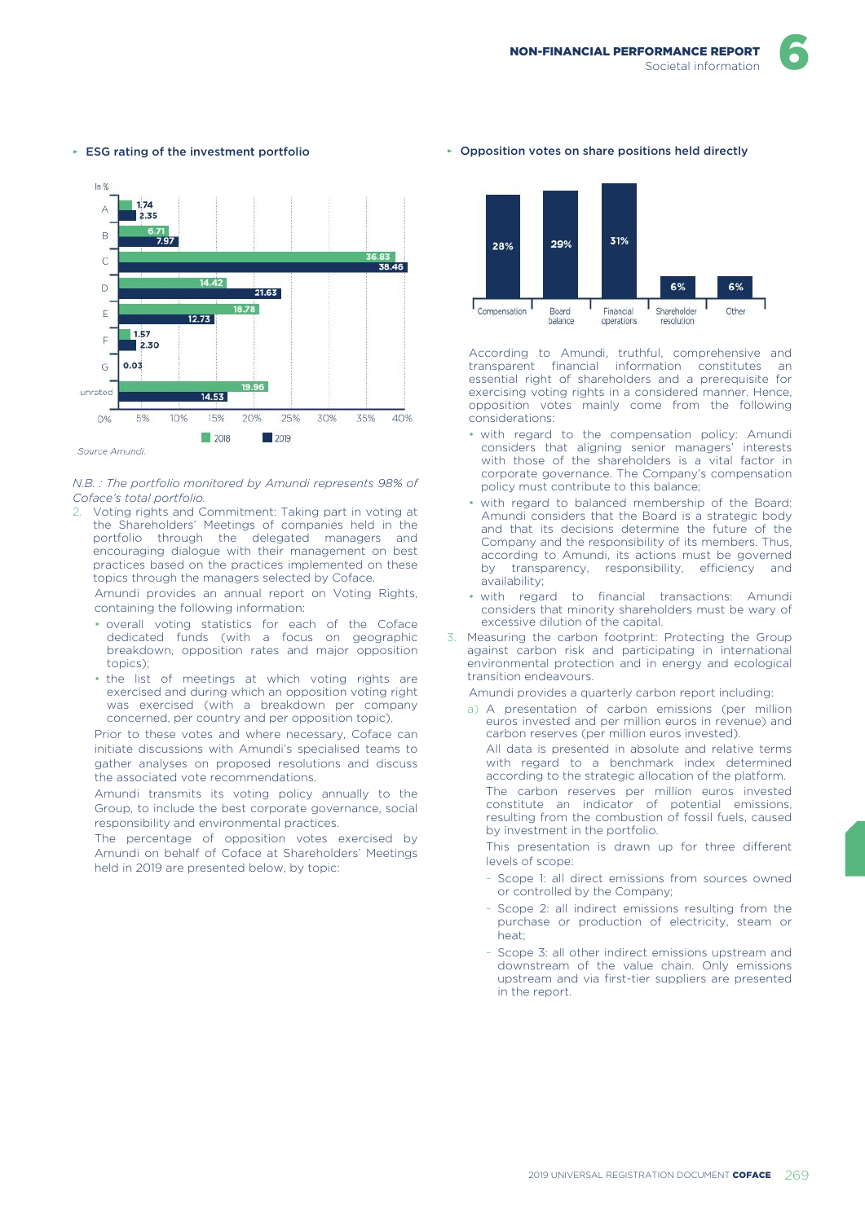

#### ► ESG rating of the investment portfolio

### *N.B. : The portfolio monitored by Amundi represents 98% of Coface's total portfolio.*

2. Voting rights and Commitment: Taking part in voting at the Shareholders' Meetings of companies held in the portfolio through the delegated managers and encouraging dialogue with their management on best practices based on the practices implemented on these topics through the managers selected by Coface.

Amundi provides an annual report on Voting Rights, containing the following information:

- overall voting statistics for each of the Coface dedicated funds (with a focus on geographic breakdown, opposition rates and major opposition topics);
- the list of meetings at which voting rights are exercised and during which an opposition voting right was exercised (with a breakdown per company concerned, per country and per opposition topic).

Prior to these votes and where necessary, Coface can initiate discussions with Amundi's specialised teams to gather analyses on proposed resolutions and discuss the associated vote recommendations.

Amundi transmits its voting policy annually to the Group, to include the best corporate governance, social responsibility and environmental practices.

The percentage of opposition votes exercised by Amundi on behalf of Coface at Shareholders' Meetings held in 2019 are presented below, by topic:

#### ► Opposition votes on share positions held directly



According to Amundi, truthful, comprehensive and<br>transparent financial information constitutes an transparent financial information constitutes essential right of shareholders and a prerequisite for exercising voting rights in a considered manner. Hence, opposition votes mainly come from the following considerations:

- with regard to the compensation policy: Amundi considers that aligning senior managers' interests with those of the shareholders is a vital factor in corporate governance. The Company's compensation policy must contribute to this balance;
- with regard to balanced membership of the Board: Amundi considers that the Board is a strategic body and that its decisions determine the future of the Company and the responsibility of its members. Thus, according to Amundi, its actions must be governed by transparency, responsibility, efficiency and availability;
- with regard to financial transactions: Amundi considers that minority shareholders must be wary of excessive dilution of the capital.
- 3. Measuring the carbon footprint: Protecting the Group against carbon risk and participating in international environmental protection and in energy and ecological transition endeavours.

Amundi provides a quarterly carbon report including:

a) A presentation of carbon emissions (per million euros invested and per million euros in revenue) and carbon reserves (per million euros invested).

All data is presented in absolute and relative terms with regard to a benchmark index determined according to the strategic allocation of the platform.

The carbon reserves per million euros invested constitute an indicator of potential emissions, resulting from the combustion of fossil fuels, caused by investment in the portfolio.

This presentation is drawn up for three different levels of scope:

- Scope 1: all direct emissions from sources owned or controlled by the Company;
- Scope 2: all indirect emissions resulting from the purchase or production of electricity, steam or heat;
- Scope 3: all other indirect emissions upstream and downstream of the value chain. Only emissions upstream and via first-tier suppliers are presented in the report.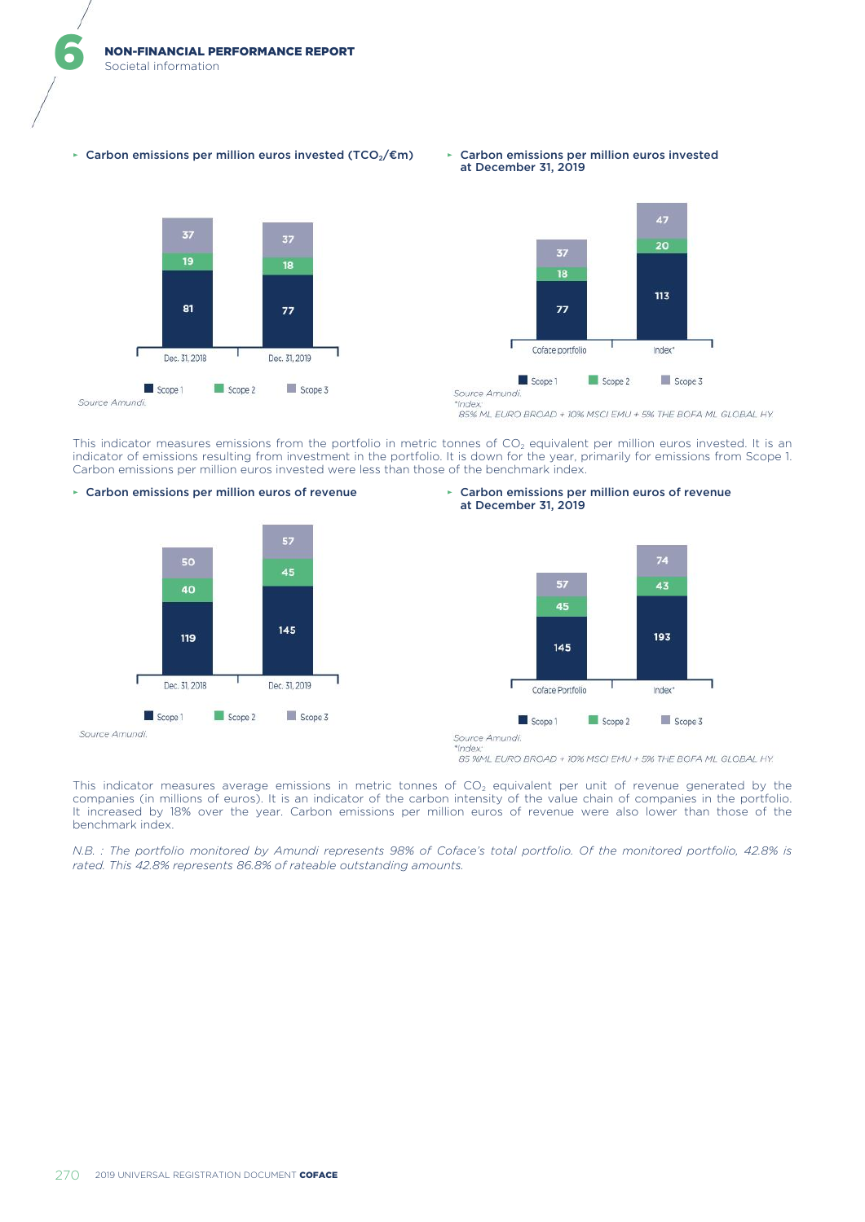► Carbon emissions per million euros invested (TCO2/€m) ► Carbon emissions per million euros invested







85% ML EURO BROAD + 10% MSCI EMU + 5% THE BOFA ML GLOBAL HY.

This indicator measures emissions from the portfolio in metric tonnes of CO<sub>2</sub> equivalent per million euros invested. It is an indicator of emissions resulting from investment in the portfolio. It is down for the year, primarily for emissions from Scope 1. Carbon emissions per million euros invested were less than those of the benchmark index.







Source Amundi.  $s$ inde

85 %ML EURO BROAD + 10% MSCI EMU + 5% THE BOFA ML GLOBAL HY.

This indicator measures average emissions in metric tonnes of  $CO<sub>2</sub>$  equivalent per unit of revenue generated by the companies (in millions of euros). It is an indicator of the carbon intensity of the value chain of companies in the portfolio. It increased by 18% over the year. Carbon emissions per million euros of revenue were also lower than those of the benchmark index.

*N.B. : The portfolio monitored by Amundi represents 98% of Coface's total portfolio. Of the monitored portfolio, 42.8% is rated. This 42.8% represents 86.8% of rateable outstanding amounts.*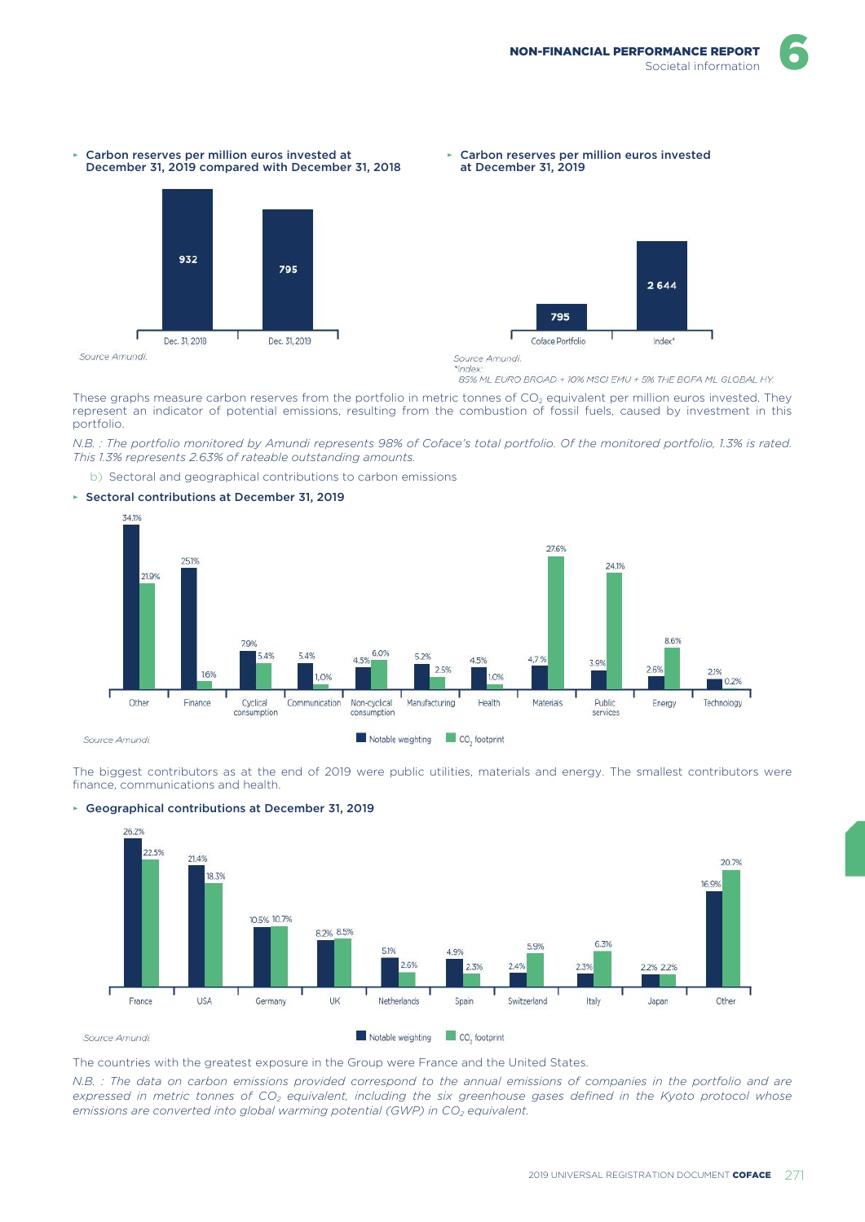

Carbon reserves per million euros invested at





*'Index* 

85% ML EURO BROAD + 10% MSCI EMU + 5% THE BOFA ML GLOBAL HY.

These graphs measure carbon reserves from the portfolio in metric tonnes of CO<sub>2</sub> equivalent per million euros invested. They represent an indicator of potential emissions, resulting from the combustion of fossil fuels, caused by investment in this portfolio.

*N.B. : The portfolio monitored by Amundi represents 98% of Coface's total portfolio. Of the monitored portfolio, 1.3% is rated. This 1.3% represents 2.63% of rateable outstanding amounts.*

b) Sectoral and geographical contributions to carbon emissions

#### ► Sectoral contributions at December 31, 2019



The biggest contributors as at the end of 2019 were public utilities, materials and energy. The smallest contributors were finance, communications and health.





The countries with the greatest exposure in the Group were France and the United States.

*N.B. : The data on carbon emissions provided correspond to the annual emissions of companies in the portfolio and are expressed in metric tonnes of CO2 equivalent, including the six greenhouse gases defined in the Kyoto protocol whose emissions are converted into global warming potential (GWP) in CO2 equivalent.*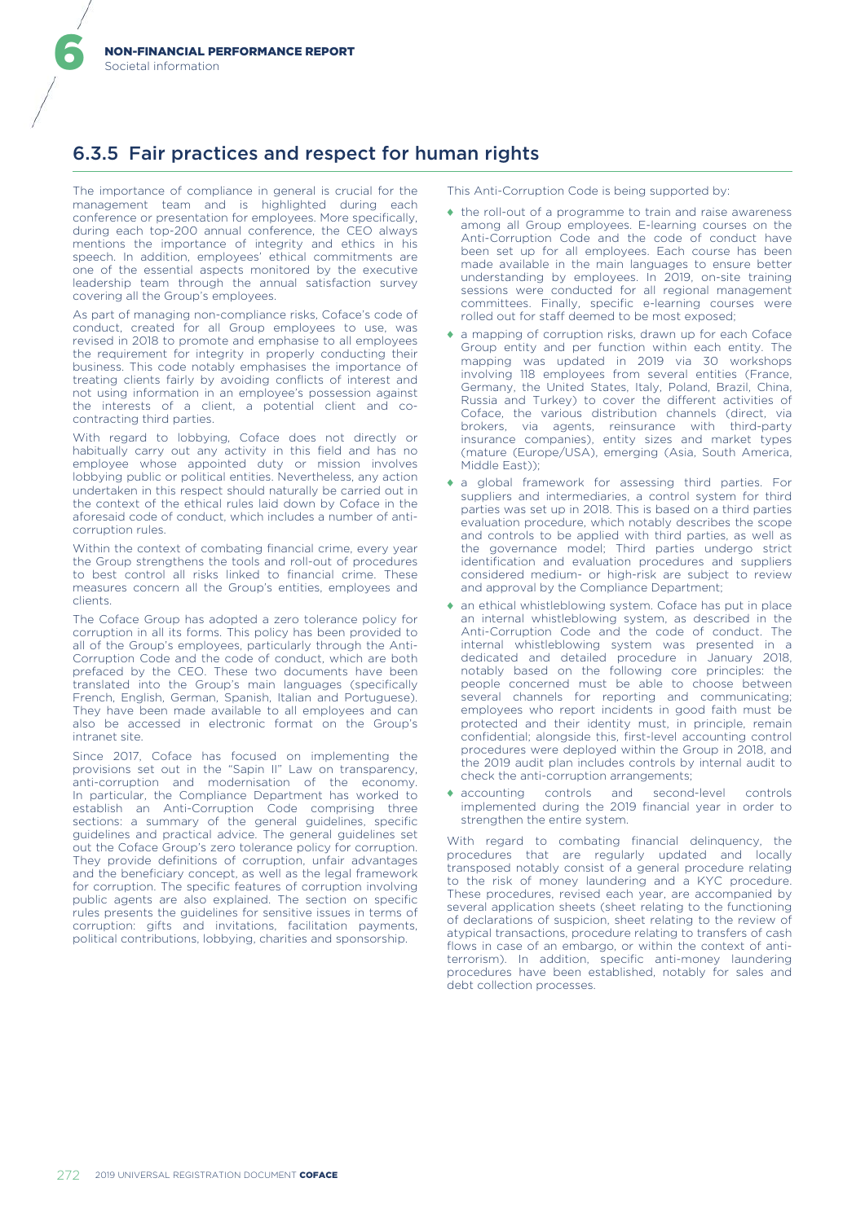# 6.3.5 Fair practices and respect for human rights

The importance of compliance in general is crucial for the management team and is highlighted during each conference or presentation for employees. More specifically, during each top-200 annual conference, the CEO always mentions the importance of integrity and ethics in his speech. In addition, employees' ethical commitments are one of the essential aspects monitored by the executive leadership team through the annual satisfaction survey covering all the Group's employees.

As part of managing non-compliance risks, Coface's code of conduct, created for all Group employees to use, was revised in 2018 to promote and emphasise to all employees the requirement for integrity in properly conducting their business. This code notably emphasises the importance of treating clients fairly by avoiding conflicts of interest and not using information in an employee's possession against the interests of a client, a potential client and cocontracting third parties.

With regard to lobbying, Coface does not directly or habitually carry out any activity in this field and has no employee whose appointed duty or mission involves lobbying public or political entities. Nevertheless, any action undertaken in this respect should naturally be carried out in the context of the ethical rules laid down by Coface in the aforesaid code of conduct, which includes a number of anticorruption rules.

Within the context of combating financial crime, every year the Group strengthens the tools and roll-out of procedures to best control all risks linked to financial crime. These measures concern all the Group's entities, employees and clients.

The Coface Group has adopted a zero tolerance policy for corruption in all its forms. This policy has been provided to all of the Group's employees, particularly through the Anti-Corruption Code and the code of conduct, which are both prefaced by the CEO. These two documents have been translated into the Group's main languages (specifically French, English, German, Spanish, Italian and Portuguese). They have been made available to all employees and can also be accessed in electronic format on the Group's intranet site.

Since 2017, Coface has focused on implementing the provisions set out in the "Sapin II" Law on transparency, anti-corruption and modernisation of the economy. In particular, the Compliance Department has worked to establish an Anti-Corruption Code comprising three sections: a summary of the general guidelines, specific guidelines and practical advice. The general guidelines set out the Coface Group's zero tolerance policy for corruption. They provide definitions of corruption, unfair advantages and the beneficiary concept, as well as the legal framework for corruption. The specific features of corruption involving public agents are also explained. The section on specific rules presents the guidelines for sensitive issues in terms of corruption: gifts and invitations, facilitation payments, political contributions, lobbying, charities and sponsorship.

This Anti-Corruption Code is being supported by:

- ♦ the roll-out of a programme to train and raise awareness among all Group employees. E-learning courses on the Anti-Corruption Code and the code of conduct have been set up for all employees. Each course has been made available in the main languages to ensure better understanding by employees. In 2019, on-site training sessions were conducted for all regional management committees. Finally, specific e-learning courses were rolled out for staff deemed to be most exposed;
- ♦ a mapping of corruption risks, drawn up for each Coface Group entity and per function within each entity. The mapping was updated in 2019 via 30 workshops involving 118 employees from several entities (France, Germany, the United States, Italy, Poland, Brazil, China, Russia and Turkey) to cover the different activities of Coface, the various distribution channels (direct, via brokers, via agents, reinsurance with third-party insurance companies), entity sizes and market types (mature (Europe/USA), emerging (Asia, South America, Middle East));
- ♦ a global framework for assessing third parties. For suppliers and intermediaries, a control system for third parties was set up in 2018. This is based on a third parties evaluation procedure, which notably describes the scope and controls to be applied with third parties, as well as the governance model; Third parties undergo strict identification and evaluation procedures and suppliers considered medium- or high-risk are subject to review and approval by the Compliance Department;
- ♦ an ethical whistleblowing system. Coface has put in place an internal whistleblowing system, as described in the Anti-Corruption Code and the code of conduct. The internal whistleblowing system was presented in a dedicated and detailed procedure in January 2018, notably based on the following core principles: the people concerned must be able to choose between several channels for reporting and communicating; employees who report incidents in good faith must be protected and their identity must, in principle, remain confidential; alongside this, first-level accounting control procedures were deployed within the Group in 2018, and the 2019 audit plan includes controls by internal audit to check the anti-corruption arrangements;
- ♦ accounting controls and second-level controls implemented during the 2019 financial year in order to strengthen the entire system.

With regard to combating financial delinquency, the procedures that are regularly updated and locally transposed notably consist of a general procedure relating to the risk of money laundering and a KYC procedure. These procedures, revised each year, are accompanied by several application sheets (sheet relating to the functioning of declarations of suspicion, sheet relating to the review of atypical transactions, procedure relating to transfers of cash flows in case of an embargo, or within the context of antiterrorism). In addition, specific anti-money laundering procedures have been established, notably for sales and debt collection processes.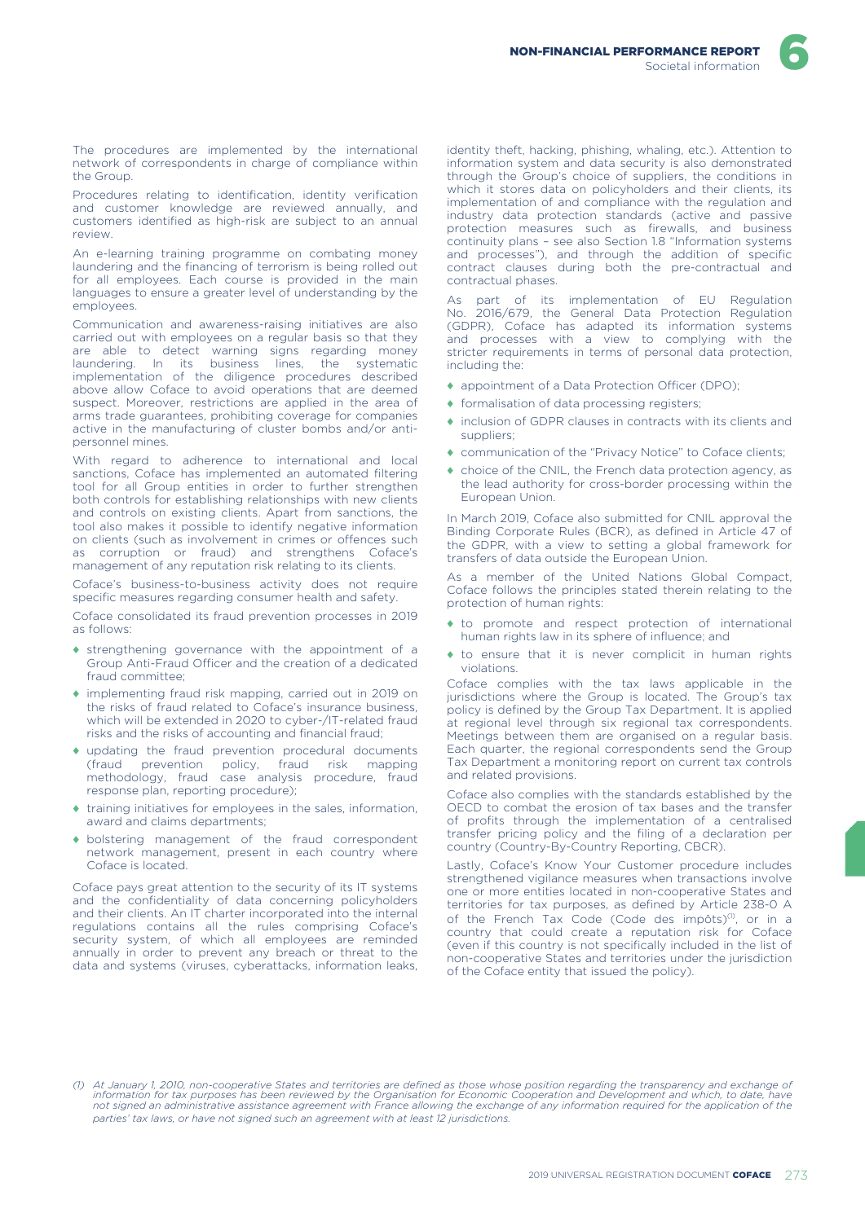The procedures are implemented by the international network of correspondents in charge of compliance within the Group.

Procedures relating to identification, identity verification and customer knowledge are reviewed annually, and customers identified as high-risk are subject to an annual review.

An e-learning training programme on combating money laundering and the financing of terrorism is being rolled out for all employees. Each course is provided in the main languages to ensure a greater level of understanding by the employees.

Communication and awareness-raising initiatives are also carried out with employees on a regular basis so that they are able to detect warning signs regarding money laundering. In its business lines, the systematic implementation of the diligence procedures described above allow Coface to avoid operations that are deemed suspect. Moreover, restrictions are applied in the area of arms trade guarantees, prohibiting coverage for companies active in the manufacturing of cluster bombs and/or antipersonnel mines.

With regard to adherence to international and local sanctions, Coface has implemented an automated filtering tool for all Group entities in order to further strengthen both controls for establishing relationships with new clients and controls on existing clients. Apart from sanctions, the tool also makes it possible to identify negative information on clients (such as involvement in crimes or offences such as corruption or fraud) and strengthens Coface's management of any reputation risk relating to its clients.

Coface's business-to-business activity does not require specific measures regarding consumer health and safety.

Coface consolidated its fraud prevention processes in 2019 as follows:

- strengthening governance with the appointment of a Group Anti-Fraud Officer and the creation of a dedicated fraud committee;
- implementing fraud risk mapping, carried out in 2019 on the risks of fraud related to Coface's insurance business, which will be extended in 2020 to cyber-/IT-related fraud risks and the risks of accounting and financial fraud;
- $\bullet$  updating the fraud prevention procedural documents (fraud prevention policy, fraud risk mapping methodology, fraud case analysis procedure, fraud response plan, reporting procedure);
- ♦ training initiatives for employees in the sales, information, award and claims departments;
- ♦ bolstering management of the fraud correspondent network management, present in each country where Coface is located.

Coface pays great attention to the security of its IT systems and the confidentiality of data concerning policyholders and their clients. An IT charter incorporated into the internal regulations contains all the rules comprising Coface's security system, of which all employees are reminded annually in order to prevent any breach or threat to the data and systems (viruses, cyberattacks, information leaks,

identity theft, hacking, phishing, whaling, etc.). Attention to information system and data security is also demonstrated through the Group's choice of suppliers, the conditions in which it stores data on policyholders and their clients, its implementation of and compliance with the regulation and industry data protection standards (active and passive protection measures such as firewalls, and business continuity plans – see also Section 1.8 "Information systems and processes"), and through the addition of specific contract clauses during both the pre-contractual and contractual phases.

As part of its implementation of EU Regulation No. 2016/679, the General Data Protection Regulation (GDPR), Coface has adapted its information systems and processes with a view to complying with the stricter requirements in terms of personal data protection, including the:

- ♦ appointment of a Data Protection Officer (DPO);
- ♦ formalisation of data processing registers;
- ♦ inclusion of GDPR clauses in contracts with its clients and suppliers;
- ♦ communication of the "Privacy Notice" to Coface clients;
- ♦ choice of the CNIL, the French data protection agency, as the lead authority for cross-border processing within the European Union.

In March 2019, Coface also submitted for CNIL approval the Binding Corporate Rules (BCR), as defined in Article 47 of the GDPR, with a view to setting a global framework for transfers of data outside the European Union.

As a member of the United Nations Global Compact, Coface follows the principles stated therein relating to the protection of human rights:

- ♦ to promote and respect protection of international human rights law in its sphere of influence; and
- ♦ to ensure that it is never complicit in human rights violations.

Coface complies with the tax laws applicable in the jurisdictions where the Group is located. The Group's tax policy is defined by the Group Tax Department. It is applied at regional level through six regional tax correspondents. Meetings between them are organised on a regular basis. Each quarter, the regional correspondents send the Group Tax Department a monitoring report on current tax controls and related provisions.

Coface also complies with the standards established by the OECD to combat the erosion of tax bases and the transfer of profits through the implementation of a centralised transfer pricing policy and the filing of a declaration per country (Country-By-Country Reporting, CBCR).

Lastly, Coface's Know Your Customer procedure includes strengthened vigilance measures when transactions involve one or more entities located in non-cooperative States and territories for tax purposes, as defined by Article 238-0 A of the French Tax Code (Code des impôts)<sup>(1)</sup>, or in a country that could create a reputation risk for Coface (even if this country is not specifically included in the list of non-cooperative States and territories under the jurisdiction of the Coface entity that issued the policy).

<sup>(1)</sup> At January 1, 2010, non-cooperative States and territories are defined as those whose position regarding the transparency and exchange of ). (1)<br>information for take purposes has been reviewed by the Organisation for E *parties' tax laws, or have not signed such an agreement with at least 12 jurisdictions.*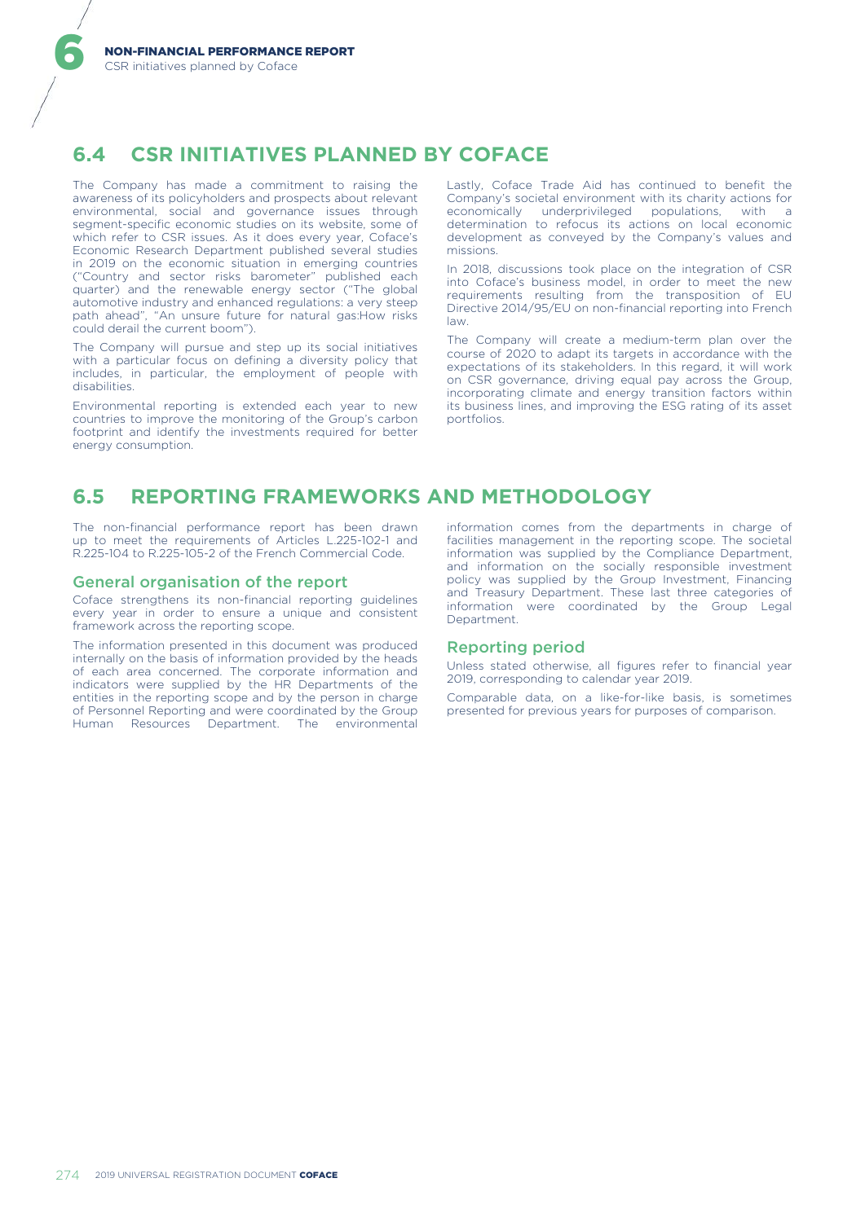# **6.4 CSR INITIATIVES PLANNED BY COFACE**

The Company has made a commitment to raising the awareness of its policyholders and prospects about relevant environmental, social and governance issues through segment-specific economic studies on its website, some of which refer to CSR issues. As it does every year, Coface's Economic Research Department published several studies in 2019 on the economic situation in emerging countries ("Country and sector risks barometer" published each quarter) and the renewable energy sector ("The global automotive industry and enhanced regulations: a very steep path ahead", "An unsure future for natural gas:How risks could derail the current boom").

The Company will pursue and step up its social initiatives with a particular focus on defining a diversity policy that includes, in particular, the employment of people with disabilities.

Environmental reporting is extended each year to new countries to improve the monitoring of the Group's carbon footprint and identify the investments required for better energy consumption.

Lastly, Coface Trade Aid has continued to benefit the Company's societal environment with its charity actions for<br>economically underprivileged populations, with a underprivileged populations, determination to refocus its actions on local economic development as conveyed by the Company's values and missions.

In 2018, discussions took place on the integration of CSR into Coface's business model, in order to meet the new requirements resulting from the transposition of EU Directive 2014/95/EU on non-financial reporting into French law.

The Company will create a medium-term plan over the course of 2020 to adapt its targets in accordance with the expectations of its stakeholders. In this regard, it will work on CSR governance, driving equal pay across the Group, incorporating climate and energy transition factors within its business lines, and improving the ESG rating of its asset portfolios.

# **6.5 REPORTING FRAMEWORKS AND METHODOLOGY**

The non-financial performance report has been drawn up to meet the requirements of Articles L.225-102-1 and R.225-104 to R.225-105-2 of the French Commercial Code.

### General organisation of the report

Coface strengthens its non-financial reporting guidelines every year in order to ensure a unique and consistent framework across the reporting scope.

The information presented in this document was produced internally on the basis of information provided by the heads of each area concerned. The corporate information and indicators were supplied by the HR Departments of the entities in the reporting scope and by the person in charge of Personnel Reporting and were coordinated by the Group Human Resources Department. The environmental information comes from the departments in charge of facilities management in the reporting scope. The societal information was supplied by the Compliance Department, and information on the socially responsible investment policy was supplied by the Group Investment, Financing and Treasury Department. These last three categories of information were coordinated by the Group Legal Department.

### Reporting period

Unless stated otherwise, all figures refer to financial year 2019, corresponding to calendar year 2019.

Comparable data, on a like-for-like basis, is sometimes presented for previous years for purposes of comparison.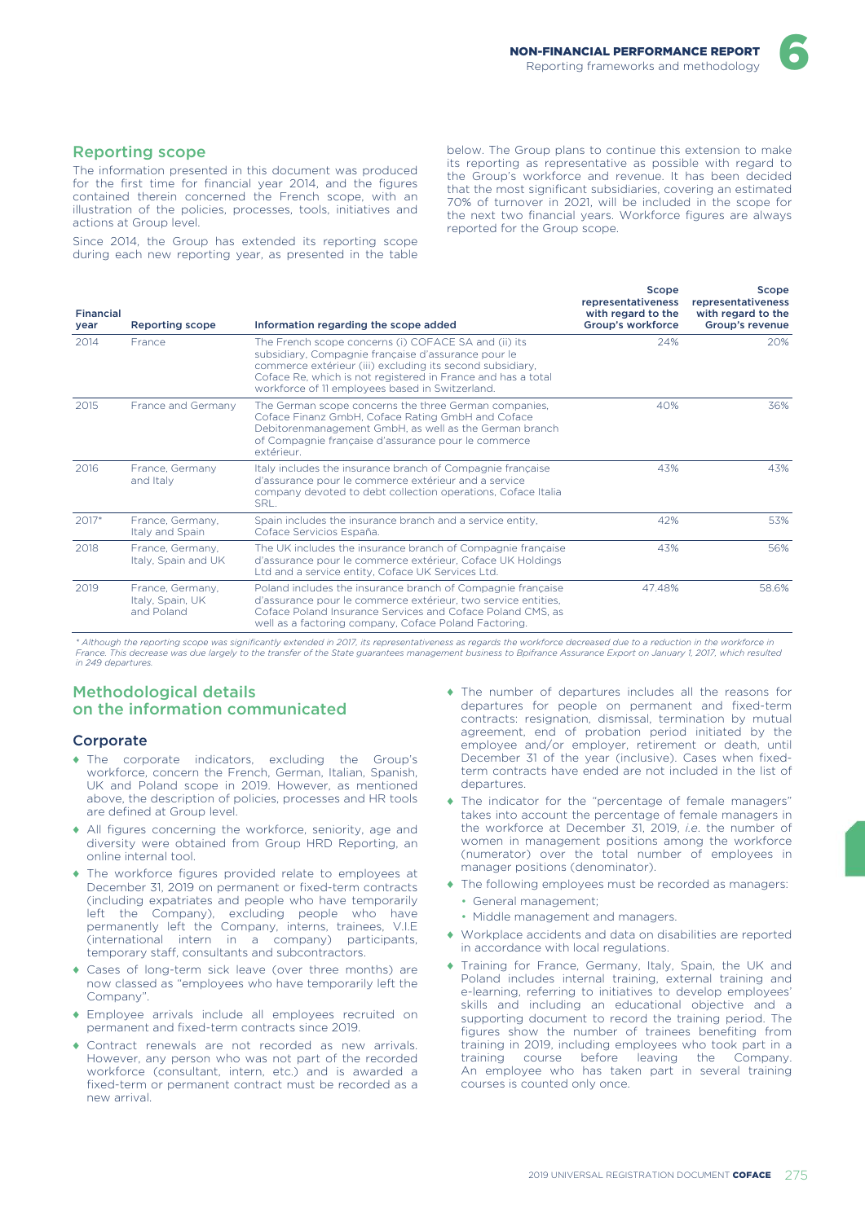### Reporting scope

The information presented in this document was produced for the first time for financial year 2014, and the figures contained therein concerned the French scope, with an illustration of the policies, processes, tools, initiatives and actions at Group level.

Since 2014, the Group has extended its reporting scope during each new reporting year, as presented in the table below. The Group plans to continue this extension to make its reporting as representative as possible with regard to the Group's workforce and revenue. It has been decided that the most significant subsidiaries, covering an estimated 70% of turnover in 2021, will be included in the scope for the next two financial years. Workforce figures are always reported for the Group scope.

| <b>Financial</b><br>year | <b>Reporting scope</b>                             | Information regarding the scope added                                                                                                                                                                                                                                                       | Scope<br>representativeness<br>with regard to the<br>Group's workforce | Scope<br>representativeness<br>with regard to the<br>Group's revenue |
|--------------------------|----------------------------------------------------|---------------------------------------------------------------------------------------------------------------------------------------------------------------------------------------------------------------------------------------------------------------------------------------------|------------------------------------------------------------------------|----------------------------------------------------------------------|
| 2014                     | France                                             | The French scope concerns (i) COFACE SA and (ii) its<br>subsidiary, Compagnie française d'assurance pour le<br>commerce extérieur (iii) excluding its second subsidiary,<br>Coface Re, which is not registered in France and has a total<br>workforce of 11 employees based in Switzerland. | 24%                                                                    | 20%                                                                  |
| 2015                     | France and Germany                                 | The German scope concerns the three German companies,<br>Coface Finanz GmbH, Coface Rating GmbH and Coface<br>Debitorenmanagement GmbH, as well as the German branch<br>of Compagnie française d'assurance pour le commerce<br>extérieur.                                                   | 40%                                                                    | 36%                                                                  |
| 2016                     | France, Germany<br>and Italy                       | Italy includes the insurance branch of Compagnie française<br>d'assurance pour le commerce extérieur and a service<br>company devoted to debt collection operations, Coface Italia<br>SRL.                                                                                                  | 43%                                                                    | 43%                                                                  |
| 2017*                    | France, Germany,<br>Italy and Spain                | Spain includes the insurance branch and a service entity,<br>Coface Servicios España.                                                                                                                                                                                                       | 42%                                                                    | 53%                                                                  |
| 2018                     | France, Germany,<br>Italy, Spain and UK            | The UK includes the insurance branch of Compagnie française<br>d'assurance pour le commerce extérieur, Coface UK Holdings<br>Ltd and a service entity, Coface UK Services Ltd.                                                                                                              | 43%                                                                    | 56%                                                                  |
| 2019                     | France, Germany,<br>Italy, Spain, UK<br>and Poland | Poland includes the insurance branch of Compagnie française<br>d'assurance pour le commerce extérieur, two service entities,<br>Coface Poland Insurance Services and Coface Poland CMS, as<br>well as a factoring company, Coface Poland Factoring.                                         | 47.48%                                                                 | 58.6%                                                                |

*\* Although the reporting scope was significantly extended in 2017, its representativeness as regards the workforce decreased due to a reduction in the workforce in France. This decrease was due largely to the transfer of the State guarantees management business to Bpifrance Assurance Export on January 1, 2017, which resulted in 249 departures.*

# Methodological details on the information communicated

### **Corporate**

- ♦ The corporate indicators, excluding the Group's workforce, concern the French, German, Italian, Spanish, UK and Poland scope in 2019. However, as mentioned above, the description of policies, processes and HR tools are defined at Group level.
- ♦ All figures concerning the workforce, seniority, age and diversity were obtained from Group HRD Reporting, an online internal tool.
- The workforce figures provided relate to employees at December 31, 2019 on permanent or fixed-term contracts (including expatriates and people who have temporarily left the Company), excluding people who have permanently left the Company, interns, trainees, V.I.E (international intern in a company) participants, temporary staff, consultants and subcontractors.
- ♦ Cases of long-term sick leave (over three months) are now classed as "employees who have temporarily left the Company".
- ♦ Employee arrivals include all employees recruited on permanent and fixed-term contracts since 2019.
- ♦ Contract renewals are not recorded as new arrivals. However, any person who was not part of the recorded workforce (consultant, intern, etc.) and is awarded a fixed-term or permanent contract must be recorded as a new arrival.
- ♦ The number of departures includes all the reasons for departures for people on permanent and fixed-term contracts: resignation, dismissal, termination by mutual agreement, end of probation period initiated by the employee and/or employer, retirement or death, until December 31 of the year (inclusive). Cases when fixedterm contracts have ended are not included in the list of departures.
- ♦ The indicator for the "percentage of female managers" takes into account the percentage of female managers in the workforce at December 31, 2019, *i.e*. the number of women in management positions among the workforce (numerator) over the total number of employees in manager positions (denominator).
- ♦ The following employees must be recorded as managers: • General management;
	- Middle management and managers.
- ♦ Workplace accidents and data on disabilities are reported in accordance with local regulations.
- ♦ Training for France, Germany, Italy, Spain, the UK and Poland includes internal training, external training and e-learning, referring to initiatives to develop employees' skills and including an educational objective and a supporting document to record the training period. The figures show the number of trainees benefiting from training in 2019, including employees who took part in a training course before leaving the Company. An employee who has taken part in several training courses is counted only once.